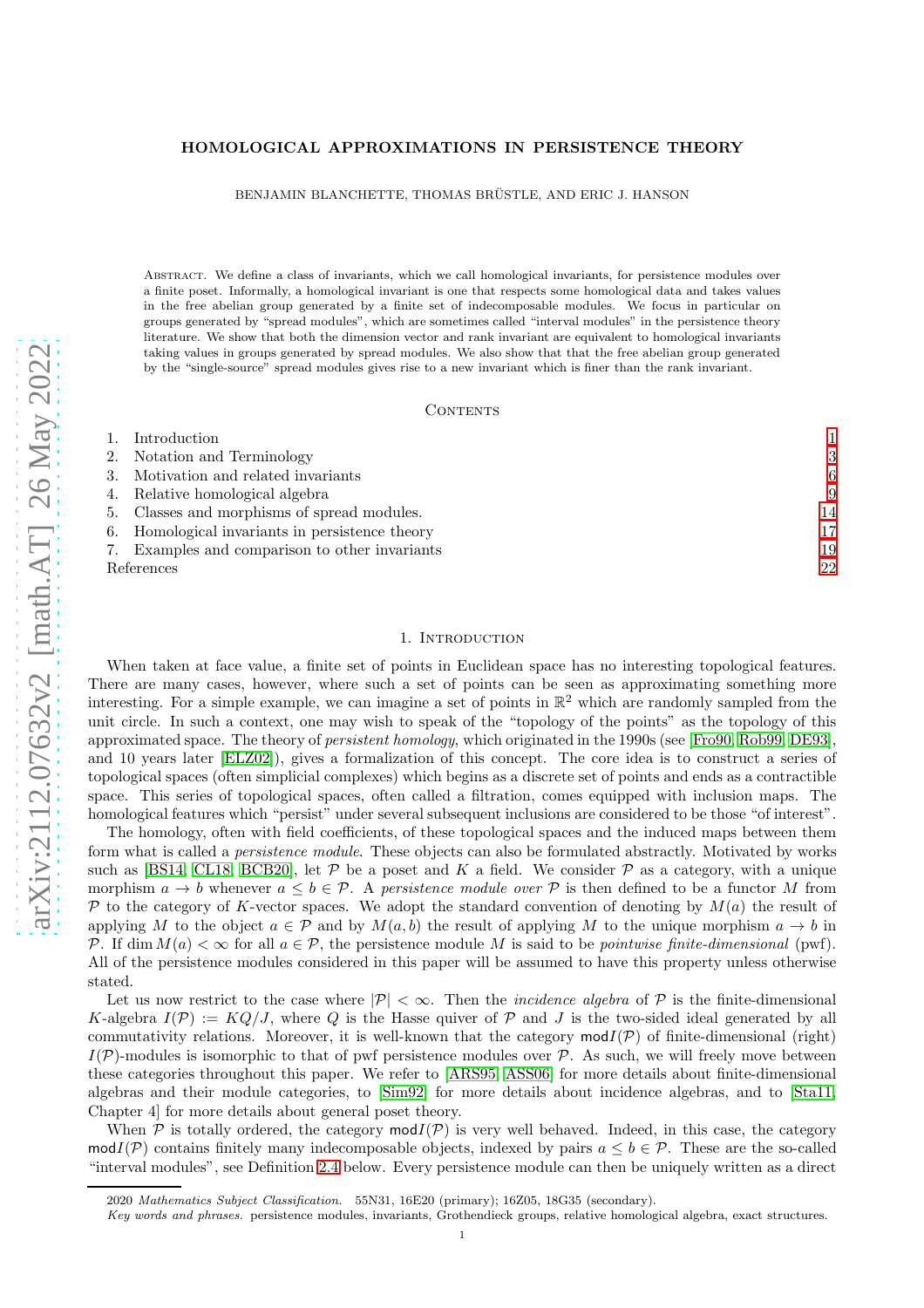# HOMOLOGICAL APPROXIMATIONS IN PERSISTENCE THEORY

BENJAMIN BLANCHETTE, THOMAS BRÜSTLE, AND ERIC J. HANSON

Abstract. We define a class of invariants, which we call homological invariants, for persistence modules over a finite poset. Informally, a homological invariant is one that respects some homological data and takes values in the free abelian group generated by a finite set of indecomposable modules. We focus in particular on groups generated by "spread modules", which are sometimes called "interval modules" in the persistence theory literature. We show that both the dimension vector and rank invariant are equivalent to homological invariants taking values in groups generated by spread modules. We also show that that the free abelian group generated by the "single-source" spread modules gives rise to a new invariant which is finer than the rank invariant.

#### CONTENTS

|            | 1. Introduction                                 |    |
|------------|-------------------------------------------------|----|
|            | 2. Notation and Terminology                     | 3  |
|            | 3. Motivation and related invariants            | 6  |
|            | 4. Relative homological algebra                 | 9  |
|            | 5. Classes and morphisms of spread modules.     | 14 |
|            | 6. Homological invariants in persistence theory | 17 |
|            | 7. Examples and comparison to other invariants  | 19 |
| References |                                                 | 22 |

## 1. Introduction

<span id="page-0-0"></span>When taken at face value, a finite set of points in Euclidean space has no interesting topological features. There are many cases, however, where such a set of points can be seen as approximating something more interesting. For a simple example, we can imagine a set of points in  $\mathbb{R}^2$  which are randomly sampled from the unit circle. In such a context, one may wish to speak of the "topology of the points" as the topology of this approximated space. The theory of persistent homology, which originated in the 1990s (see [\[Fro90,](#page-21-1) [Rob99,](#page-22-0) [DE93\]](#page-21-2), and 10 years later [\[ELZ02\]](#page-21-3)), gives a formalization of this concept. The core idea is to construct a series of topological spaces (often simplicial complexes) which begins as a discrete set of points and ends as a contractible space. This series of topological spaces, often called a filtration, comes equipped with inclusion maps. The homological features which "persist" under several subsequent inclusions are considered to be those "of interest".

The homology, often with field coefficients, of these topological spaces and the induced maps between them form what is called a persistence module. These objects can also be formulated abstractly. Motivated by works such as [\[BS14,](#page-21-4) [CL18,](#page-21-5) [BCB20\]](#page-21-6), let  $P$  be a poset and K a field. We consider P as a category, with a unique morphism  $a \to b$  whenever  $a \leq b \in \mathcal{P}$ . A persistence module over  $\mathcal P$  is then defined to be a functor M from  $\mathcal P$  to the category of K-vector spaces. We adopt the standard convention of denoting by  $M(a)$  the result of applying M to the object  $a \in \mathcal{P}$  and by  $M(a, b)$  the result of applying M to the unique morphism  $a \to b$  in P. If dim  $M(a) < \infty$  for all  $a \in \mathcal{P}$ , the persistence module M is said to be *pointwise finite-dimensional* (pwf). All of the persistence modules considered in this paper will be assumed to have this property unless otherwise stated.

Let us now restrict to the case where  $|\mathcal{P}| < \infty$ . Then the *incidence algebra* of  $\mathcal{P}$  is the finite-dimensional K-algebra  $I(\mathcal{P}) := KQ/J$ , where Q is the Hasse quiver of  $\mathcal P$  and J is the two-sided ideal generated by all commutativity relations. Moreover, it is well-known that the category  $mod I(\mathcal{P})$  of finite-dimensional (right)  $I(\mathcal{P})$ -modules is isomorphic to that of pwf persistence modules over  $\mathcal{P}$ . As such, we will freely move between these categories throughout this paper. We refer to [\[ARS95,](#page-21-7) [ASS06\]](#page-21-8) for more details about finite-dimensional algebras and their module categories, to [\[Sim92\]](#page-22-1) for more details about incidence algebras, and to [\[Sta11,](#page-22-2) Chapter 4] for more details about general poset theory.

When  $P$  is totally ordered, the category mod $I(P)$  is very well behaved. Indeed, in this case, the category modI(P) contains finitely many indecomposable objects, indexed by pairs  $a \leq b \in \mathcal{P}$ . These are the so-called "interval modules", see Definition [2.4](#page-3-0) below. Every persistence module can then be uniquely written as a direct

<sup>2020</sup> Mathematics Subject Classification. 55N31, 16E20 (primary); 16Z05, 18G35 (secondary).

Key words and phrases. persistence modules, invariants, Grothendieck groups, relative homological algebra, exact structures.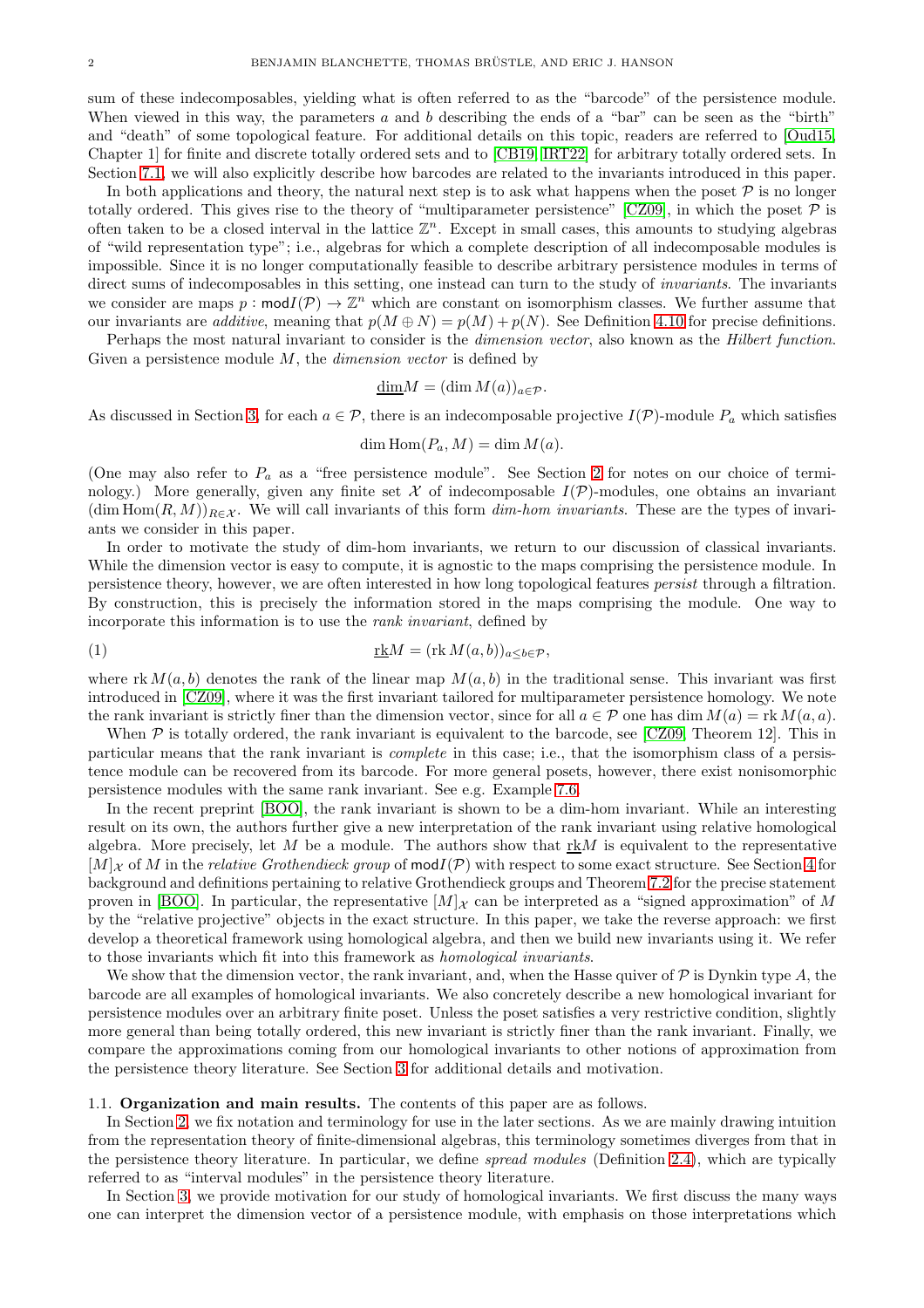sum of these indecomposables, yielding what is often referred to as the "barcode" of the persistence module. When viewed in this way, the parameters a and b describing the ends of a "bar" can be seen as the "birth" and "death" of some topological feature. For additional details on this topic, readers are referred to [\[Oud15,](#page-22-3) Chapter 1] for finite and discrete totally ordered sets and to [\[CB19,](#page-21-9) [IRT22\]](#page-22-4) for arbitrary totally ordered sets. In Section [7.1,](#page-18-1) we will also explicitly describe how barcodes are related to the invariants introduced in this paper.

In both applications and theory, the natural next step is to ask what happens when the poset  $P$  is no longer totally ordered. This gives rise to the theory of "multiparameter persistence" [\[CZ09\]](#page-21-10), in which the poset  $P$  is often taken to be a closed interval in the lattice  $\mathbb{Z}^n$ . Except in small cases, this amounts to studying algebras of "wild representation type"; i.e., algebras for which a complete description of all indecomposable modules is impossible. Since it is no longer computationally feasible to describe arbitrary persistence modules in terms of direct sums of indecomposables in this setting, one instead can turn to the study of *invariants*. The invariants we consider are maps  $p: \text{mod } I(\mathcal{P}) \to \mathbb{Z}^n$  which are constant on isomorphism classes. We further assume that our invariants are *additive*, meaning that  $p(M \oplus N) = p(M) + p(N)$ . See Definition [4.10](#page-10-0) for precise definitions.

Perhaps the most natural invariant to consider is the *dimension vector*, also known as the *Hilbert function*. Given a persistence module  $M$ , the *dimension vector* is defined by

$$
\underline{\dim} M = (\dim M(a))_{a \in \mathcal{P}}.
$$

As discussed in Section [3,](#page-5-0) for each  $a \in \mathcal{P}$ , there is an indecomposable projective  $I(\mathcal{P})$ -module  $P_a$  which satisfies

# <span id="page-1-0"></span> $\dim \text{Hom}(P_a, M) = \dim M(a).$

(One may also refer to  $P_a$  as a "free persistence module". See Section [2](#page-2-0) for notes on our choice of terminology.) More generally, given any finite set X of indecomposable  $I(\mathcal{P})$ -modules, one obtains an invariant  $(\dim \text{Hom}(R, M))_{R \in \mathcal{X}}$ . We will call invariants of this form dim-hom invariants. These are the types of invariants we consider in this paper.

In order to motivate the study of dim-hom invariants, we return to our discussion of classical invariants. While the dimension vector is easy to compute, it is agnostic to the maps comprising the persistence module. In persistence theory, however, we are often interested in how long topological features persist through a filtration. By construction, this is precisely the information stored in the maps comprising the module. One way to incorporate this information is to use the rank invariant, defined by

(1) 
$$
\underline{\text{rk}}M = (\text{rk }M(a,b))_{a \le b \in \mathcal{P}},
$$

where  $\mathrm{rk} M(a, b)$  denotes the rank of the linear map  $M(a, b)$  in the traditional sense. This invariant was first introduced in [\[CZ09\]](#page-21-10), where it was the first invariant tailored for multiparameter persistence homology. We note the rank invariant is strictly finer than the dimension vector, since for all  $a \in \mathcal{P}$  one has dim  $M(a) = \text{rk } M(a, a)$ .

When  $P$  is totally ordered, the rank invariant is equivalent to the barcode, see [\[CZ09,](#page-21-10) Theorem 12]. This in particular means that the rank invariant is complete in this case; i.e., that the isomorphism class of a persistence module can be recovered from its barcode. For more general posets, however, there exist nonisomorphic persistence modules with the same rank invariant. See e.g. Example [7.6.](#page-19-0)

In the recent preprint [\[BOO\]](#page-21-11), the rank invariant is shown to be a dim-hom invariant. While an interesting result on its own, the authors further give a new interpretation of the rank invariant using relative homological algebra. More precisely, let M be a module. The authors show that  $\mathrm{rk} M$  is equivalent to the representative  $[M]$ <sub>X</sub> of M in the relative Grothendieck group of mod $I(\mathcal{P})$  with respect to some exact structure. See Section [4](#page-8-0) for background and definitions pertaining to relative Grothendieck groups and Theorem [7.2](#page-18-2) for the precise statement proven in [\[BOO\]](#page-21-11). In particular, the representative  $[M]_X$  can be interpreted as a "signed approximation" of M by the "relative projective" objects in the exact structure. In this paper, we take the reverse approach: we first develop a theoretical framework using homological algebra, and then we build new invariants using it. We refer to those invariants which fit into this framework as homological invariants.

We show that the dimension vector, the rank invariant, and, when the Hasse quiver of  $P$  is Dynkin type A, the barcode are all examples of homological invariants. We also concretely describe a new homological invariant for persistence modules over an arbitrary finite poset. Unless the poset satisfies a very restrictive condition, slightly more general than being totally ordered, this new invariant is strictly finer than the rank invariant. Finally, we compare the approximations coming from our homological invariants to other notions of approximation from the persistence theory literature. See Section [3](#page-5-0) for additional details and motivation.

## 1.1. Organization and main results. The contents of this paper are as follows.

In Section [2,](#page-2-0) we fix notation and terminology for use in the later sections. As we are mainly drawing intuition from the representation theory of finite-dimensional algebras, this terminology sometimes diverges from that in the persistence theory literature. In particular, we define spread modules (Definition [2.4\)](#page-3-0), which are typically referred to as "interval modules" in the persistence theory literature.

In Section [3,](#page-5-0) we provide motivation for our study of homological invariants. We first discuss the many ways one can interpret the dimension vector of a persistence module, with emphasis on those interpretations which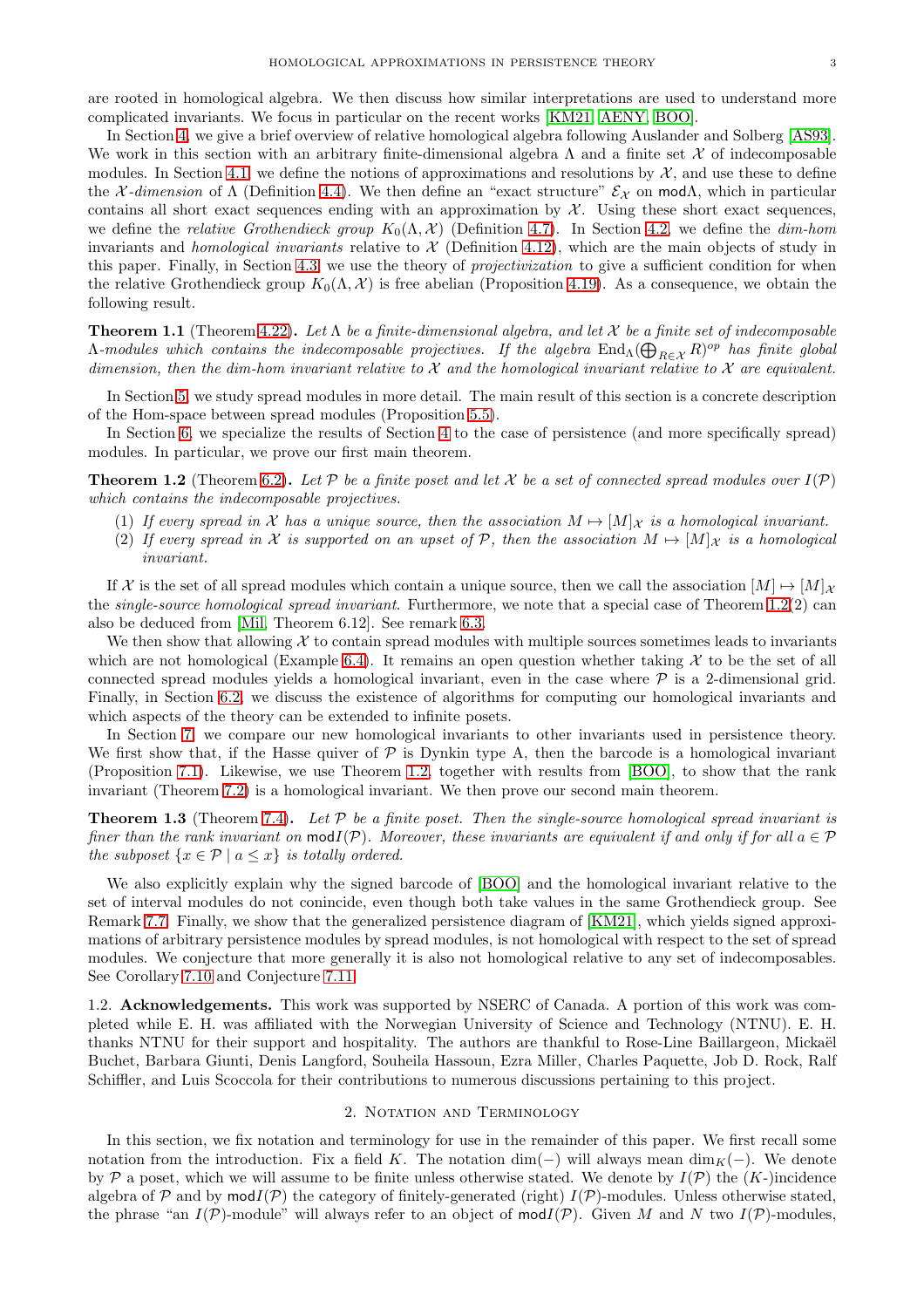are rooted in homological algebra. We then discuss how similar interpretations are used to understand more complicated invariants. We focus in particular on the recent works [\[KM21,](#page-22-5) [AENY,](#page-21-12) [BOO\]](#page-21-11).

In Section [4,](#page-8-0) we give a brief overview of relative homological algebra following Auslander and Solberg [\[AS93\]](#page-21-13). We work in this section with an arbitrary finite-dimensional algebra  $\Lambda$  and a finite set  $\mathcal X$  of indecomposable modules. In Section [4.1,](#page-8-1) we define the notions of approximations and resolutions by  $\mathcal{X}$ , and use these to define the X-dimension of  $\Lambda$  (Definition [4.4\)](#page-9-0). We then define an "exact structure"  $\mathcal{E}_\mathcal{X}$  on mod $\Lambda$ , which in particular contains all short exact sequences ending with an approximation by  $\mathcal{X}$ . Using these short exact sequences, we define the relative Grothendieck group  $K_0(\Lambda, \mathcal{X})$  (Definition [4.7\)](#page-9-1). In Section [4.2,](#page-10-1) we define the dim-hom invariants and *homological invariants* relative to  $\mathcal{X}$  (Definition [4.12\)](#page-11-0), which are the main objects of study in this paper. Finally, in Section [4.3,](#page-11-1) we use the theory of projectivization to give a sufficient condition for when the relative Grothendieck group  $K_0(\Lambda, \mathcal{X})$  is free abelian (Proposition [4.19\)](#page-12-0). As a consequence, we obtain the following result.

<span id="page-2-2"></span>**Theorem 1.1** (Theorem [4.22\)](#page-12-1). Let  $\Lambda$  be a finite-dimensional algebra, and let X be a finite set of indecomposable  $\Lambda$ -modules which contains the indecomposable projectives. If the algebra  $\mathrm{End}_\Lambda(\bigoplus_{R\in\mathcal{X}}R)^{op}$  has finite global dimension, then the dim-hom invariant relative to  $\mathcal X$  and the homological invariant relative to  $\mathcal X$  are equivalent.

In Section [5,](#page-13-0) we study spread modules in more detail. The main result of this section is a concrete description of the Hom-space between spread modules (Proposition [5.5\)](#page-14-0).

In Section [6,](#page-16-0) we specialize the results of Section [4](#page-8-0) to the case of persistence (and more specifically spread) modules. In particular, we prove our first main theorem.

<span id="page-2-1"></span>**Theorem 1.2** (Theorem [6.2\)](#page-16-1). Let  $P$  be a finite poset and let X be a set of connected spread modules over  $I(P)$ which contains the indecomposable projectives.

- (1) If every spread in X has a unique source, then the association  $M \mapsto [M]_{\mathcal{X}}$  is a homological invariant.
- (2) If every spread in X is supported on an upset of P, then the association  $M \rightarrow [M]_X$  is a homological invariant.

If X is the set of all spread modules which contain a unique source, then we call the association  $[M] \mapsto [M]_{\mathcal{X}}$ the single-source homological spread invariant. Furthermore, we note that a special case of Theorem [1.2\(](#page-2-1)2) can also be deduced from [\[Mil,](#page-22-6) Theorem 6.12]. See remark [6.3.](#page-16-2)

We then show that allowing  $\mathcal X$  to contain spread modules with multiple sources sometimes leads to invariants which are not homological (Example [6.4\)](#page-16-3). It remains an open question whether taking  $\mathcal X$  to be the set of all connected spread modules yields a homological invariant, even in the case where  $P$  is a 2-dimensional grid. Finally, in Section [6.2,](#page-17-0) we discuss the existence of algorithms for computing our homological invariants and which aspects of the theory can be extended to infinite posets.

In Section [7,](#page-18-0) we compare our new homological invariants to other invariants used in persistence theory. We first show that, if the Hasse quiver of  $P$  is Dynkin type A, then the barcode is a homological invariant (Proposition [7.1\)](#page-18-3). Likewise, we use Theorem [1.2,](#page-2-1) together with results from [\[BOO\]](#page-21-11), to show that the rank invariant (Theorem [7.2\)](#page-18-2) is a homological invariant. We then prove our second main theorem.

<span id="page-2-3"></span>**Theorem 1.3** (Theorem [7.4\)](#page-19-1). Let  $\mathcal{P}$  be a finite poset. Then the single-source homological spread invariant is finer than the rank invariant on  $mod I(\mathcal{P})$ . Moreover, these invariants are equivalent if and only if for all  $a \in \mathcal{P}$ the subposet  $\{x \in \mathcal{P} \mid a \leq x\}$  is totally ordered.

We also explicitly explain why the signed barcode of [\[BOO\]](#page-21-11) and the homological invariant relative to the set of interval modules do not conincide, even though both take values in the same Grothendieck group. See Remark [7.7.](#page-20-0) Finally, we show that the generalized persistence diagram of [\[KM21\]](#page-22-5), which yields signed approximations of arbitrary persistence modules by spread modules, is not homological with respect to the set of spread modules. We conjecture that more generally it is also not homological relative to any set of indecomposables. See Corollary [7.10](#page-21-14) and Conjecture [7.11.](#page-21-15)

1.2. Acknowledgements. This work was supported by NSERC of Canada. A portion of this work was completed while E. H. was affiliated with the Norwegian University of Science and Technology (NTNU). E. H. thanks NTNU for their support and hospitality. The authors are thankful to Rose-Line Baillargeon, Mickaël Buchet, Barbara Giunti, Denis Langford, Souheila Hassoun, Ezra Miller, Charles Paquette, Job D. Rock, Ralf Schiffler, and Luis Scoccola for their contributions to numerous discussions pertaining to this project.

# 2. NOTATION AND TERMINOLOGY

<span id="page-2-0"></span>In this section, we fix notation and terminology for use in the remainder of this paper. We first recall some notation from the introduction. Fix a field K. The notation dim(−) will always mean dim<sub>K</sub>(−). We denote by P a poset, which we will assume to be finite unless otherwise stated. We denote by  $I(\mathcal{P})$  the  $(K-)$ incidence algebra of  $P$  and by  $mod I(P)$  the category of finitely-generated (right)  $I(P)$ -modules. Unless otherwise stated, the phrase "an  $I(\mathcal{P})$ -module" will always refer to an object of mod $I(\mathcal{P})$ . Given M and N two  $I(\mathcal{P})$ -modules,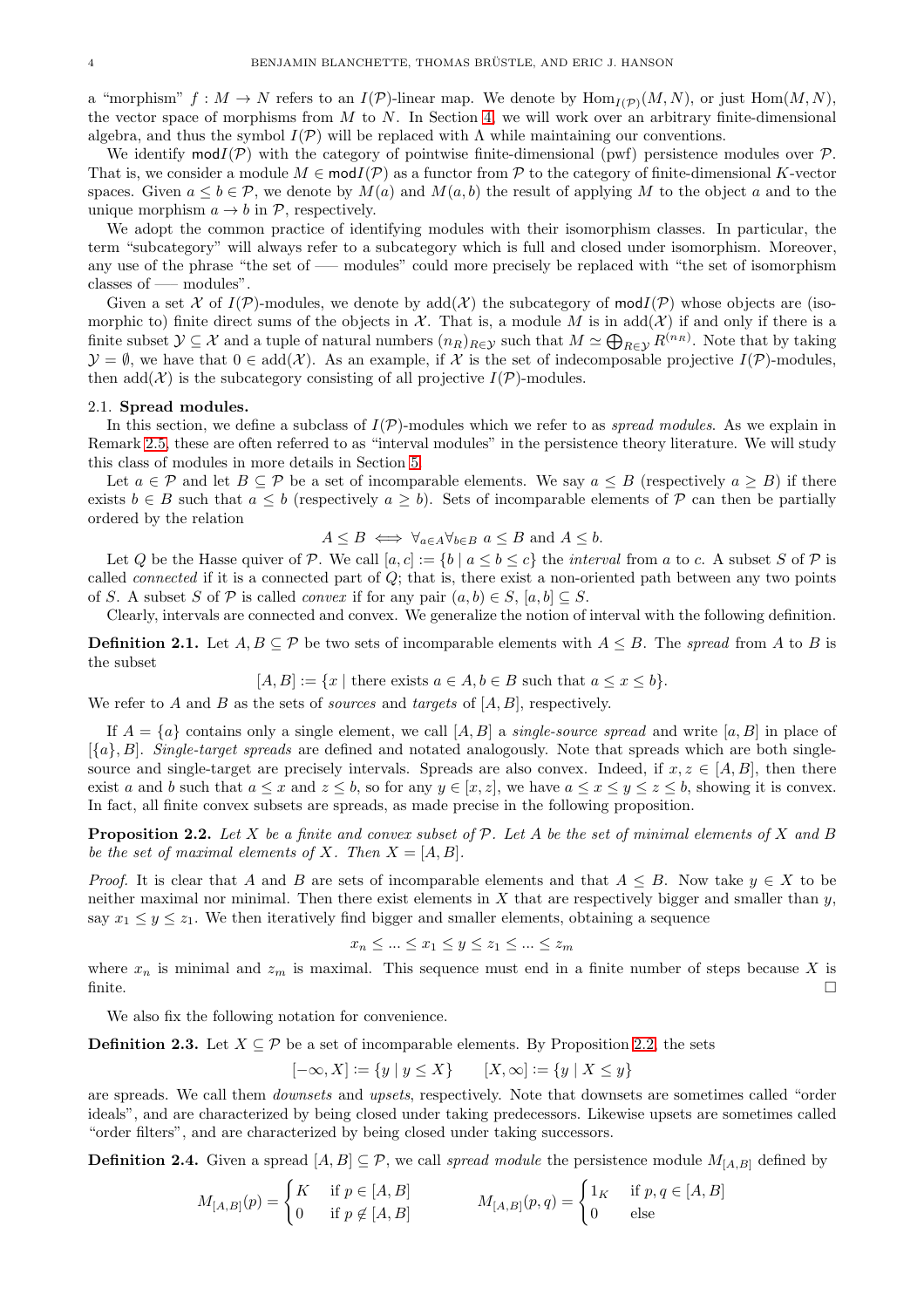a "morphism"  $f : M \to N$  refers to an  $I(\mathcal{P})$ -linear map. We denote by  $\text{Hom}_{I(\mathcal{P})}(M, N)$ , or just  $\text{Hom}(M, N)$ , the vector space of morphisms from  $M$  to  $N$ . In Section [4,](#page-8-0) we will work over an arbitrary finite-dimensional algebra, and thus the symbol  $I(\mathcal{P})$  will be replaced with  $\Lambda$  while maintaining our conventions.

We identify  $mod I(\mathcal{P})$  with the category of pointwise finite-dimensional (pwf) persistence modules over  $\mathcal{P}$ . That is, we consider a module  $M \in \text{mod} I(\mathcal{P})$  as a functor from  $\mathcal P$  to the category of finite-dimensional K-vector spaces. Given  $a \leq b \in \mathcal{P}$ , we denote by  $M(a)$  and  $M(a, b)$  the result of applying M to the object a and to the unique morphism  $a \to b$  in  $\mathcal{P}$ , respectively.

We adopt the common practice of identifying modules with their isomorphism classes. In particular, the term "subcategory" will always refer to a subcategory which is full and closed under isomorphism. Moreover, any use of the phrase "the set of —– modules" could more precisely be replaced with "the set of isomorphism classes of —– modules".

Given a set X of  $I(\mathcal{P})$ -modules, we denote by add $(\mathcal{X})$  the subcategory of mod $I(\mathcal{P})$  whose objects are (isomorphic to) finite direct sums of the objects in X. That is, a module M is in  $\text{add}(\mathcal{X})$  if and only if there is a finite subset  $\mathcal{Y} \subseteq \mathcal{X}$  and a tuple of natural numbers  $(n_R)_{R \in \mathcal{Y}}$  such that  $M \simeq \bigoplus_{R \in \mathcal{Y}} R^{(n_R)}$ . Note that by taking  $\mathcal{Y} = \emptyset$ , we have that  $0 \in \text{add}(\mathcal{X})$ . As an example, if X is the set of indecomposable projective  $I(\mathcal{P})$ -modules, then  $add(\mathcal{X})$  is the subcategory consisting of all projective  $I(\mathcal{P})$ -modules.

### <span id="page-3-2"></span>2.1. Spread modules.

In this section, we define a subclass of  $I(\mathcal{P})$ -modules which we refer to as *spread modules*. As we explain in Remark [2.5,](#page-4-0) these are often referred to as "interval modules" in the persistence theory literature. We will study this class of modules in more details in Section [5.](#page-13-0)

Let  $a \in \mathcal{P}$  and let  $B \subseteq \mathcal{P}$  be a set of incomparable elements. We say  $a \leq B$  (respectively  $a \geq B$ ) if there exists  $b \in B$  such that  $a \leq b$  (respectively  $a \geq b$ ). Sets of incomparable elements of P can then be partially ordered by the relation

$$
A \leq B \iff \forall_{a \in A} \forall_{b \in B} \ a \leq B \text{ and } A \leq b.
$$

Let Q be the Hasse quiver of P. We call  $[a, c] := \{b \mid a \le b \le c\}$  the *interval* from a to c. A subset S of P is called *connected* if it is a connected part of  $Q$ ; that is, there exist a non-oriented path between any two points of S. A subset S of P is called *convex* if for any pair  $(a, b) \in S$ ,  $[a, b] \subseteq S$ .

Clearly, intervals are connected and convex. We generalize the notion of interval with the following definition.

**Definition 2.1.** Let  $A, B \subseteq \mathcal{P}$  be two sets of incomparable elements with  $A \leq B$ . The spread from A to B is the subset

 $[A, B] := \{x \mid \text{there exists } a \in A, b \in B \text{ such that } a \leq x \leq b\}.$ 

We refer to A and B as the sets of *sources* and *targets* of  $[A, B]$ , respectively.

If  $A = \{a\}$  contains only a single element, we call  $[A, B]$  a *single-source spread* and write  $[a, B]$  in place of  $[\lbrace a \rbrace, B]$ . Single-target spreads are defined and notated analogously. Note that spreads which are both singlesource and single-target are precisely intervals. Spreads are also convex. Indeed, if  $x, z \in [A, B]$ , then there exist a and b such that  $a \leq x$  and  $z \leq b$ , so for any  $y \in [x, z]$ , we have  $a \leq x \leq y \leq z \leq b$ , showing it is convex. In fact, all finite convex subsets are spreads, as made precise in the following proposition.

<span id="page-3-1"></span>**Proposition 2.2.** Let X be a finite and convex subset of  $\mathcal{P}$ . Let A be the set of minimal elements of X and B be the set of maximal elements of X. Then  $X = [A, B]$ .

*Proof.* It is clear that A and B are sets of incomparable elements and that  $A \leq B$ . Now take  $y \in X$  to be neither maximal nor minimal. Then there exist elements in  $X$  that are respectively bigger and smaller than  $y$ , say  $x_1 \leq y \leq z_1$ . We then iteratively find bigger and smaller elements, obtaining a sequence

$$
x_n \le \dots \le x_1 \le y \le z_1 \le \dots \le z_m
$$

where  $x_n$  is minimal and  $z_m$  is maximal. This sequence must end in a finite number of steps because X is finite.  $\Box$ 

We also fix the following notation for convenience.

**Definition 2.3.** Let  $X \subseteq \mathcal{P}$  be a set of incomparable elements. By Proposition [2.2,](#page-3-1) the sets

$$
[-\infty, X] := \{ y \mid y \le X \} \qquad [X, \infty] := \{ y \mid X \le y \}
$$

are spreads. We call them downsets and upsets, respectively. Note that downsets are sometimes called "order ideals", and are characterized by being closed under taking predecessors. Likewise upsets are sometimes called "order filters", and are characterized by being closed under taking successors.

<span id="page-3-0"></span>**Definition 2.4.** Given a spread  $[A, B] \subseteq \mathcal{P}$ , we call spread module the persistence module  $M_{[A,B]}$  defined by

$$
M_{[A,B]}(p) = \begin{cases} K & \text{if } p \in [A,B] \\ 0 & \text{if } p \notin [A,B] \end{cases} \qquad M_{[A,B]}(p,q) = \begin{cases} 1_K & \text{if } p,q \in [A,B] \\ 0 & \text{else} \end{cases}
$$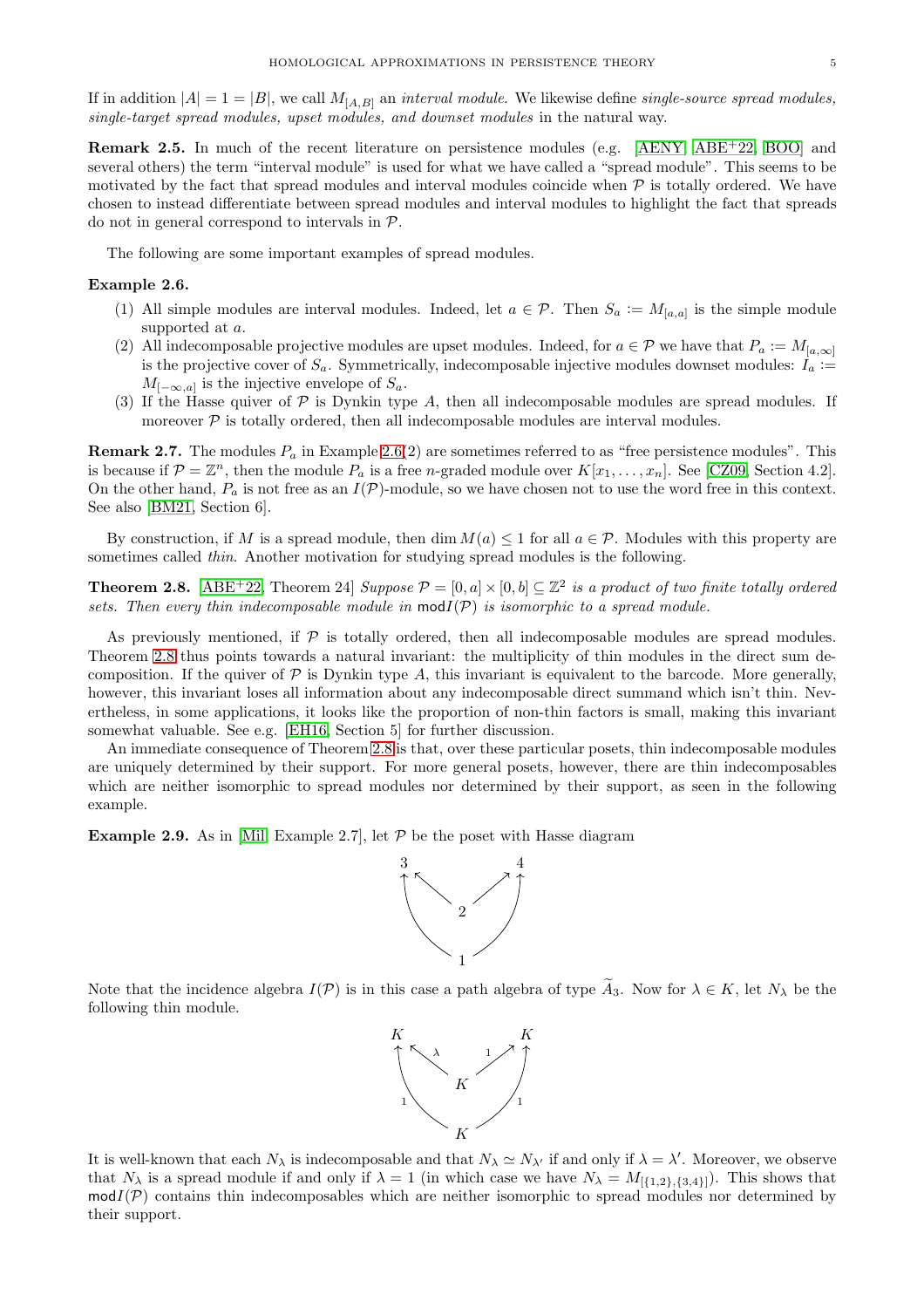If in addition  $|A| = 1 = |B|$ , we call  $M_{[A,B]}$  an interval module. We likewise define single-source spread modules, single-target spread modules, upset modules, and downset modules in the natural way.

<span id="page-4-0"></span>Remark 2.5. In much of the recent literature on persistence modules (e.g. [\[AENY,](#page-21-12) [ABE](#page-21-16)+22, [BOO\]](#page-21-11) and several others) the term "interval module" is used for what we have called a "spread module". This seems to be motivated by the fact that spread modules and interval modules coincide when  $P$  is totally ordered. We have chosen to instead differentiate between spread modules and interval modules to highlight the fact that spreads do not in general correspond to intervals in P.

The following are some important examples of spread modules.

### <span id="page-4-1"></span>Example 2.6.

- (1) All simple modules are interval modules. Indeed, let  $a \in \mathcal{P}$ . Then  $S_a := M_{[a,a]}$  is the simple module supported at  $a$ .
- (2) All indecomposable projective modules are upset modules. Indeed, for  $a \in \mathcal{P}$  we have that  $P_a := M_{[a,\infty]}$ is the projective cover of  $S_a$ . Symmetrically, indecomposable injective modules downset modules:  $I_a$  :=  $M_{[-\infty,a]}$  is the injective envelope of  $S_a$ .
- (3) If the Hasse quiver of  $P$  is Dynkin type A, then all indecomposable modules are spread modules. If moreover  $\mathcal P$  is totally ordered, then all indecomposable modules are interval modules.

**Remark 2.7.** The modules  $P_a$  in Example [2.6\(](#page-4-1)2) are sometimes referred to as "free persistence modules". This is because if  $\mathcal{P} = \mathbb{Z}^n$ , then the module  $P_a$  is a free *n*-graded module over  $K[x_1, \ldots, x_n]$ . See [\[CZ09,](#page-21-10) Section 4.2]. On the other hand,  $P_a$  is not free as an  $I(\mathcal{P})$ -module, so we have chosen not to use the word free in this context. See also [\[BM21,](#page-21-17) Section 6].

By construction, if M is a spread module, then dim  $M(a) \leq 1$  for all  $a \in \mathcal{P}$ . Modules with this property are sometimes called *thin*. Another motivation for studying spread modules is the following.

<span id="page-4-2"></span>**Theorem 2.8.** [\[ABE](#page-21-16)<sup>+</sup>22, Theorem 24] Suppose  $P = [0, a] \times [0, b] \subseteq \mathbb{Z}^2$  is a product of two finite totally ordered sets. Then every thin indecomposable module in  $mod I(\mathcal{P})$  is isomorphic to a spread module.

As previously mentioned, if  $P$  is totally ordered, then all indecomposable modules are spread modules. Theorem [2.8](#page-4-2) thus points towards a natural invariant: the multiplicity of thin modules in the direct sum decomposition. If the quiver of  $\mathcal P$  is Dynkin type A, this invariant is equivalent to the barcode. More generally, however, this invariant loses all information about any indecomposable direct summand which isn't thin. Nevertheless, in some applications, it looks like the proportion of non-thin factors is small, making this invariant somewhat valuable. See e.g. [\[EH16,](#page-21-18) Section 5] for further discussion.

An immediate consequence of Theorem [2.8](#page-4-2) is that, over these particular posets, thin indecomposable modules are uniquely determined by their support. For more general posets, however, there are thin indecomposables which are neither isomorphic to spread modules nor determined by their support, as seen in the following example.

**Example 2.9.** As in [\[Mil,](#page-22-6) Example 2.7], let  $P$  be the poset with Hasse diagram



Note that the incidence algebra  $I(\mathcal{P})$  is in this case a path algebra of type  $\widetilde{A}_3$ . Now for  $\lambda \in K$ , let  $N_\lambda$  be the following thin module.



It is well-known that each  $N_\lambda$  is indecomposable and that  $N_\lambda \simeq N_{\lambda'}$  if and only if  $\lambda = \lambda'$ . Moreover, we observe that  $N_\lambda$  is a spread module if and only if  $\lambda = 1$  (in which case we have  $N_\lambda = M_{\{1,2\},\{3,4\}}$ ). This shows that  $mod I(\mathcal{P})$  contains thin indecomposables which are neither isomorphic to spread modules nor determined by their support.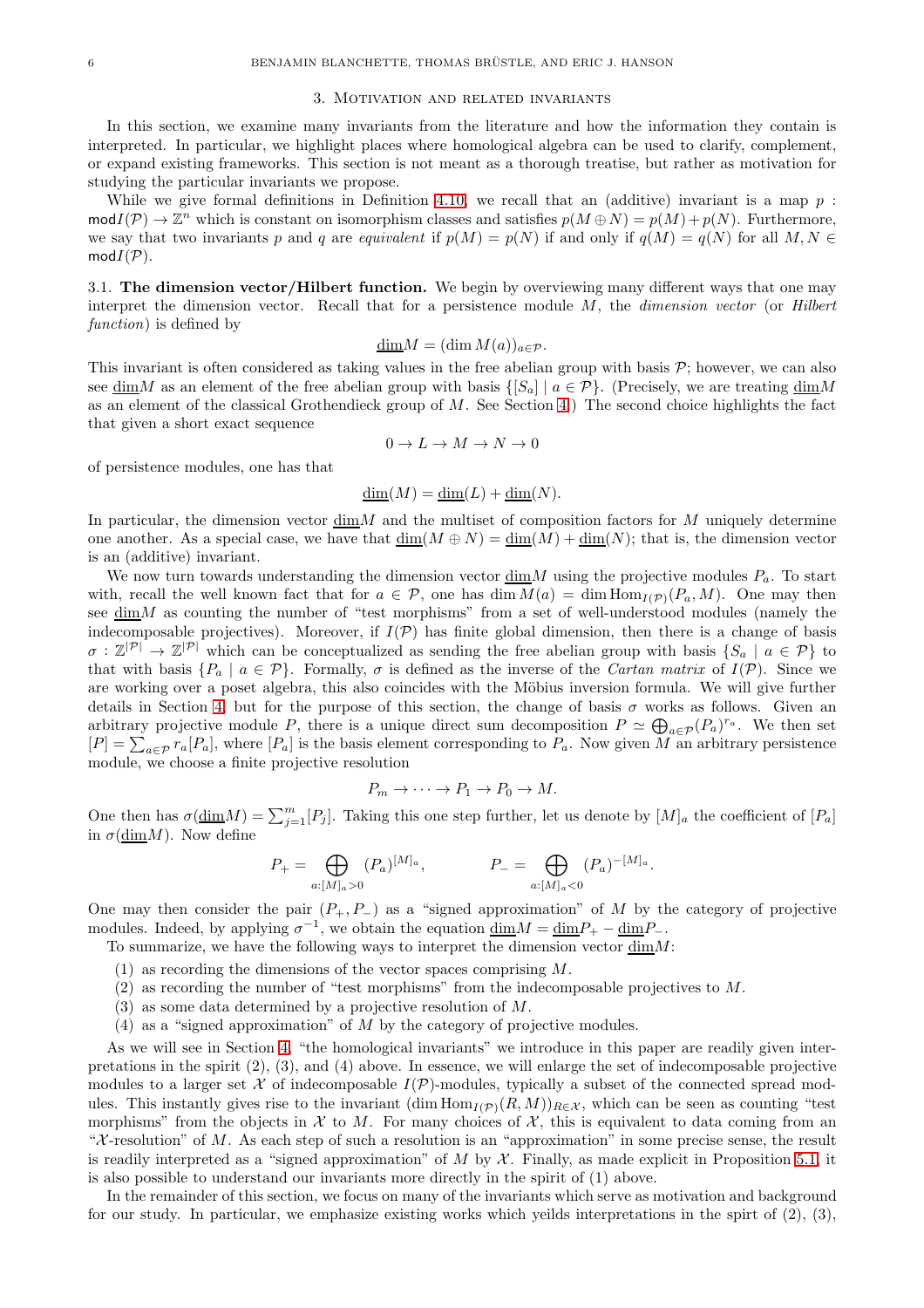### 3. Motivation and related invariants

<span id="page-5-0"></span>In this section, we examine many invariants from the literature and how the information they contain is interpreted. In particular, we highlight places where homological algebra can be used to clarify, complement, or expand existing frameworks. This section is not meant as a thorough treatise, but rather as motivation for studying the particular invariants we propose.

While we give formal definitions in Definition [4.10,](#page-10-0) we recall that an (additive) invariant is a map  $p$ :  $\text{mod } I(\mathcal{P}) \to \mathbb{Z}^n$  which is constant on isomorphism classes and satisfies  $p(M \oplus N) = p(M) + p(N)$ . Furthermore, we say that two invariants p and q are equivalent if  $p(M) = p(N)$  if and only if  $q(M) = q(N)$  for all  $M, N \in$  $modI(\mathcal{P})$ .

<span id="page-5-1"></span>3.1. The dimension vector/Hilbert function. We begin by overviewing many different ways that one may interpret the dimension vector. Recall that for a persistence module  $M$ , the dimension vector (or Hilbert function) is defined by

$$
\underline{\dim} M = (\dim M(a))_{a \in \mathcal{P}}.
$$

This invariant is often considered as taking values in the free abelian group with basis  $\mathcal{P}$ ; however, we can also see dimM as an element of the free abelian group with basis  $\{[S_\alpha] \mid a \in \mathcal{P}\}\$ . (Precisely, we are treating dimM as an element of the classical Grothendieck group of M. See Section [4.](#page-8-0)) The second choice highlights the fact that given a short exact sequence

$$
0\to L\to M\to N\to 0
$$

of persistence modules, one has that

$$
\underline{\dim}(M) = \underline{\dim}(L) + \underline{\dim}(N).
$$

In particular, the dimension vector  $\dim M$  and the multiset of composition factors for M uniquely determine one another. As a special case, we have that  $\dim(M \oplus N) = \dim(M) + \dim(N)$ ; that is, the dimension vector is an (additive) invariant.

We now turn towards understanding the dimension vector  $\underline{\dim}M$  using the projective modules  $P_a$ . To start with, recall the well known fact that for  $a \in \mathcal{P}$ , one has dim  $M(a) = \dim \text{Hom}_{I(\mathcal{P})}(P_a, M)$ . One may then see  $\dim M$  as counting the number of "test morphisms" from a set of well-understood modules (namely the indecomposable projectives). Moreover, if  $I(\mathcal{P})$  has finite global dimension, then there is a change of basis  $\sigma: \mathbb{Z}^{|\mathcal{P}|} \to \mathbb{Z}^{|\mathcal{P}|}$  which can be conceptualized as sending the free abelian group with basis  $\{S_a \mid a \in \mathcal{P}\}\$  to that with basis  $\{P_a \mid a \in \mathcal{P}\}\$ . Formally,  $\sigma$  is defined as the inverse of the *Cartan matrix* of  $I(\mathcal{P})$ . Since we are working over a poset algebra, this also coincides with the Möbius inversion formula. We will give further details in Section [4,](#page-8-0) but for the purpose of this section, the change of basis  $\sigma$  works as follows. Given an arbitrary projective module P, there is a unique direct sum decomposition  $P \simeq \bigoplus_{a \in \mathcal{P}} (P_a)^{r_a}$ . We then set  $[P] = \sum_{a \in \mathcal{P}} r_a[P_a]$ , where  $[P_a]$  is the basis element corresponding to  $P_a$ . Now given M an arbitrary persistence module, we choose a finite projective resolution

$$
P_m \to \cdots \to P_1 \to P_0 \to M.
$$

One then has  $\sigma(\underline{\dim}M) = \sum_{j=1}^m [P_j]$ . Taking this one step further, let us denote by  $[M]_a$  the coefficient of  $[P_a]$ in  $\sigma(\mathrm{dim}M)$ . Now define

$$
P_{+} = \bigoplus_{a:[M]_a>0} (P_a)^{[M]_a}, \qquad P_{-} = \bigoplus_{a:[M]_a<0} (P_a)^{-[M]_a}
$$

.

One may then consider the pair  $(P_+, P_-)$  as a "signed approximation" of M by the category of projective modules. Indeed, by applying  $\sigma^{-1}$ , we obtain the equation  $\underline{\dim}M = \underline{\dim}P_+ - \underline{\dim}P_-$ .

To summarize, we have the following ways to interpret the dimension vector  $\dim M$ :

- (1) as recording the dimensions of the vector spaces comprising M.
- (2) as recording the number of "test morphisms" from the indecomposable projectives to M.
- (3) as some data determined by a projective resolution of M.
- (4) as a "signed approximation" of  $M$  by the category of projective modules.

As we will see in Section [4,](#page-8-0) "the homological invariants" we introduce in this paper are readily given interpretations in the spirit (2), (3), and (4) above. In essence, we will enlarge the set of indecomposable projective modules to a larger set X of indecomposable  $I(\mathcal{P})$ -modules, typically a subset of the connected spread modules. This instantly gives rise to the invariant  $(\dim \text{Hom}_{I(\mathcal{P})}(R, M))_{R \in \mathcal{X}}$ , which can be seen as counting "test morphisms" from the objects in  $\mathcal X$  to  $M$ . For many choices of  $\mathcal X$ , this is equivalent to data coming from an " $\mathcal{X}$ -resolution" of M. As each step of such a resolution is an "approximation" in some precise sense, the result is readily interpreted as a "signed approximation" of M by  $\mathcal X$ . Finally, as made explicit in Proposition [5.1,](#page-13-1) it is also possible to understand our invariants more directly in the spirit of (1) above.

In the remainder of this section, we focus on many of the invariants which serve as motivation and background for our study. In particular, we emphasize existing works which yeilds interpretations in the spirt of  $(2)$ ,  $(3)$ ,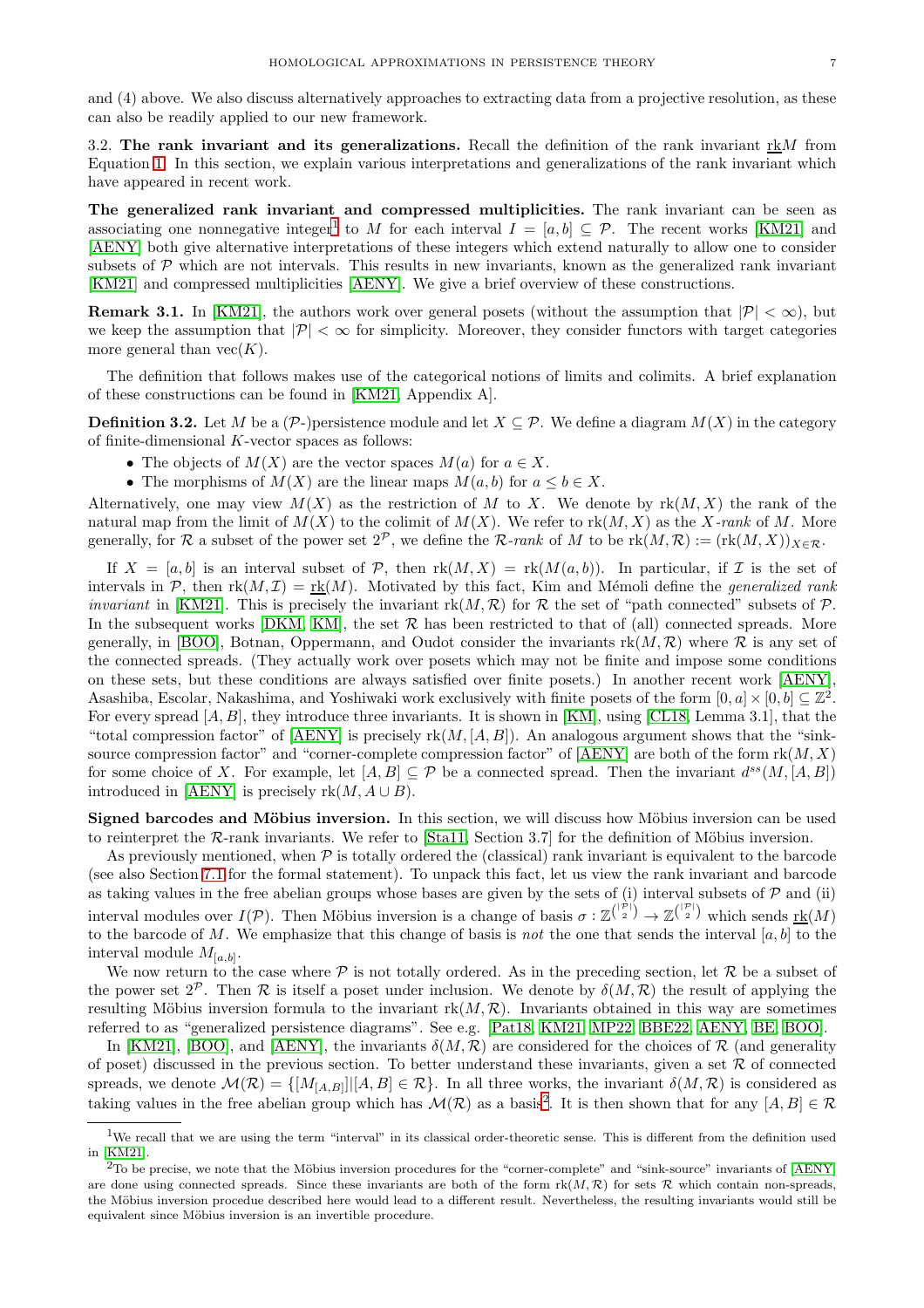and (4) above. We also discuss alternatively approaches to extracting data from a projective resolution, as these can also be readily applied to our new framework.

3.2. The rank invariant and its generalizations. Recall the definition of the rank invariant  $r \cdot k$ M from Equation [1.](#page-1-0) In this section, we explain various interpretations and generalizations of the rank invariant which have appeared in recent work.

The generalized rank invariant and compressed multiplicities. The rank invariant can be seen as associating one nonnegative integer<sup>[1](#page-6-0)</sup> to M for each interval  $I = [a, b] \subseteq \mathcal{P}$ . The recent works [\[KM21\]](#page-22-5) and [\[AENY\]](#page-21-12) both give alternative interpretations of these integers which extend naturally to allow one to consider subsets of  $P$  which are not intervals. This results in new invariants, known as the generalized rank invariant [\[KM21\]](#page-22-5) and compressed multiplicities [\[AENY\]](#page-21-12). We give a brief overview of these constructions.

**Remark 3.1.** In [\[KM21\]](#page-22-5), the authors work over general posets (without the assumption that  $|\mathcal{P}| < \infty$ ), but we keep the assumption that  $|\mathcal{P}| < \infty$  for simplicity. Moreover, they consider functors with target categories more general than  $\text{vec}(K)$ .

The definition that follows makes use of the categorical notions of limits and colimits. A brief explanation of these constructions can be found in [\[KM21,](#page-22-5) Appendix A].

**Definition 3.2.** Let M be a  $(\mathcal{P})$ -lpersistence module and let  $X \subseteq \mathcal{P}$ . We define a diagram  $M(X)$  in the category of finite-dimensional K-vector spaces as follows:

- The objects of  $M(X)$  are the vector spaces  $M(a)$  for  $a \in X$ .
- The morphisms of  $M(X)$  are the linear maps  $M(a, b)$  for  $a \leq b \in X$ .

Alternatively, one may view  $M(X)$  as the restriction of M to X. We denote by  $rk(M, X)$  the rank of the natural map from the limit of  $M(X)$  to the colimit of  $M(X)$ . We refer to rk $(M, X)$  as the X-rank of M. More generally, for R a subset of the power set  $2^{\mathcal{P}}$ , we define the R-rank of M to be  $\text{rk}(M,\mathcal{R}) := (\text{rk}(M,X))_{X \in \mathcal{R}}$ .

If  $X = [a, b]$  is an interval subset of P, then  $rk(M, X) = rk(M(a, b))$ . In particular, if I is the set of intervals in P, then  $rk(M, \mathcal{I}) = rk(M)$ . Motivated by this fact, Kim and Mémoli define the *generalized rank invariant* in [\[KM21\]](#page-22-5). This is precisely the invariant  $rk(M, \mathcal{R})$  for  $\mathcal{R}$  the set of "path connected" subsets of  $\mathcal{P}$ . In the subsequent works  $[DKM, KM]$  $[DKM, KM]$ , the set  $\mathcal R$  has been restricted to that of (all) connected spreads. More generally, in [\[BOO\]](#page-21-11), Botnan, Oppermann, and Oudot consider the invariants  $rk(M,\mathcal{R})$  where  $\mathcal R$  is any set of the connected spreads. (They actually work over posets which may not be finite and impose some conditions on these sets, but these conditions are always satisfied over finite posets.) In another recent work [\[AENY\]](#page-21-12), Asashiba, Escolar, Nakashima, and Yoshiwaki work exclusively with finite posets of the form  $[0, a] \times [0, b] \subseteq \mathbb{Z}^2$ . For every spread  $[A, B]$ , they introduce three invariants. It is shown in [\[KM\]](#page-22-7), using [\[CL18,](#page-21-5) Lemma 3.1], that the "total compression factor" of  $|AENY|$  is precisely  $rk(M, [A, B])$ . An analogous argument shows that the "sinksource compression factor" and "corner-complete compression factor" of  $[AENY]$  are both of the form  $rk(M, X)$ for some choice of X. For example, let  $[A, B] \subseteq \mathcal{P}$  be a connected spread. Then the invariant  $d^{ss}(M, [A, B])$ introduced in [\[AENY\]](#page-21-12) is precisely  $rk(M, A \cup B)$ .

Signed barcodes and Möbius inversion. In this section, we will discuss how Möbius inversion can be used to reinterpret the  $\mathcal{R}$ -rank invariants. We refer to [\[Sta11,](#page-22-2) Section 3.7] for the definition of Möbius inversion.

As previously mentioned, when  $P$  is totally ordered the (classical) rank invariant is equivalent to the barcode (see also Section [7.1](#page-18-1) for the formal statement). To unpack this fact, let us view the rank invariant and barcode as taking values in the free abelian groups whose bases are given by the sets of (i) interval subsets of  $P$  and (ii) interval modules over  $I(\mathcal{P})$ . Then Möbius inversion is a change of basis  $\sigma : \mathbb{Z}^{\binom{|\mathcal{P}|}{2}} \to \mathbb{Z}^{\binom{|\mathcal{P}|}{2}}$  which sends  $\underline{\text{rk}}(M)$ to the barcode of M. We emphasize that this change of basis is not the one that sends the interval  $[a, b]$  to the interval module  $M_{[a,b]}$ .

We now return to the case where  $\mathcal P$  is not totally ordered. As in the preceding section, let  $\mathcal R$  be a subset of the power set  $2^{\mathcal{P}}$ . Then  $\mathcal R$  is itself a poset under inclusion. We denote by  $\delta(M,\mathcal R)$  the result of applying the resulting Möbius inversion formula to the invariant  $rk(M, \mathcal{R})$ . Invariants obtained in this way are sometimes referred to as "generalized persistence diagrams". See e.g. [\[Pat18,](#page-22-8) [KM21,](#page-22-5) [MP22,](#page-22-9) [BBE22,](#page-21-20) [AENY,](#page-21-12) [BE,](#page-21-21) [BOO\]](#page-21-11).

In [\[KM21\]](#page-22-5), [\[BOO\]](#page-21-11), and [\[AENY\]](#page-21-12), the invariants  $\delta(M, \mathcal{R})$  are considered for the choices of  $\mathcal{R}$  (and generality of poset) discussed in the previous section. To better understand these invariants, given a set  $R$  of connected spreads, we denote  $\mathcal{M}(\mathcal{R}) = \{[M_{[A,B]}] | [A,B] \in \mathcal{R}\}$ . In all three works, the invariant  $\delta(M,\mathcal{R})$  is considered as taking values in the free abelian group which has  $\mathcal{M}(\mathcal{R})$  as a basis<sup>[2](#page-6-1)</sup>. It is then shown that for any  $[A, B] \in \mathcal{R}$ 

<span id="page-6-0"></span><sup>&</sup>lt;sup>1</sup>We recall that we are using the term "interval" in its classical order-theoretic sense. This is different from the definition used in [\[KM21\]](#page-22-5).

<span id="page-6-1"></span> $^{2}$ To be precise, we note that the Möbius inversion procedures for the "corner-complete" and "sink-source" invariants of [\[AENY\]](#page-21-12) are done using connected spreads. Since these invariants are both of the form  $rk(M, \mathcal{R})$  for sets R which contain non-spreads, the Möbius inversion procedue described here would lead to a different result. Nevertheless, the resulting invariants would still be equivalent since Möbius inversion is an invertible procedure.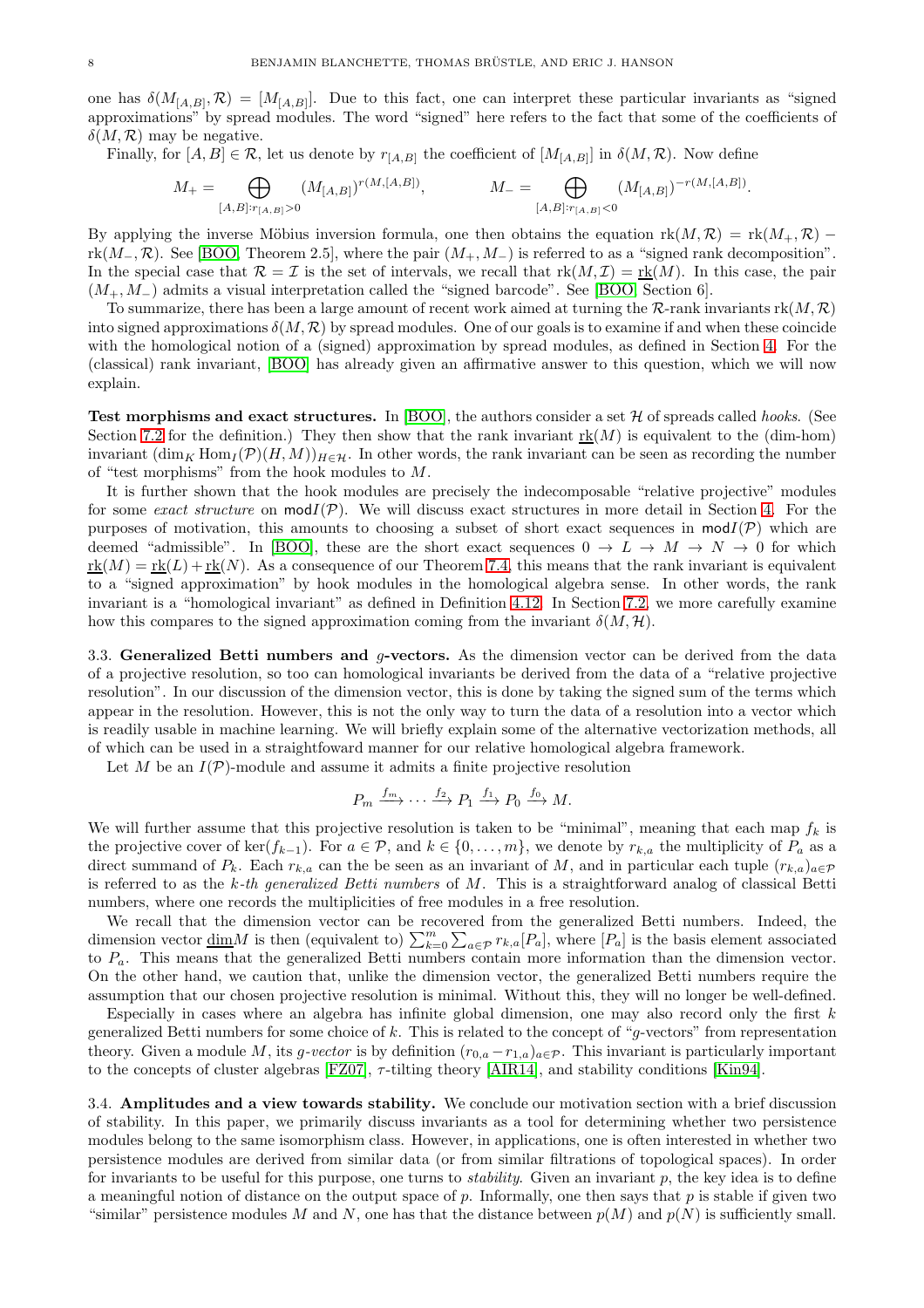one has  $\delta(M_{[A,B]},\mathcal{R})=[M_{[A,B]}].$  Due to this fact, one can interpret these particular invariants as "signed" approximations" by spread modules. The word "signed" here refers to the fact that some of the coefficients of  $\delta(M, \mathcal{R})$  may be negative.

Finally, for  $[A, B] \in \mathcal{R}$ , let us denote by  $r_{[A,B]}$  the coefficient of  $[M_{[A,B]}]$  in  $\delta(M,\mathcal{R})$ . Now define

$$
M_{+} = \bigoplus_{[A,B]:r_{[A,B]}>0} (M_{[A,B]})^{r(M,[A,B])}, \qquad \qquad M_{-} = \bigoplus_{[A,B]:r_{[A,B]}<0} (M_{[A,B]})^{-r(M,[A,B])}
$$

.

By applying the inverse Möbius inversion formula, one then obtains the equation  $rk(M,\mathcal{R}) = rk(M_+,\mathcal{R})$  $rk(M_-, \mathcal{R})$ . See [\[BOO,](#page-21-11) Theorem 2.5], where the pair  $(M_+, M_-)$  is referred to as a "signed rank decomposition". In the special case that  $\mathcal{R} = \mathcal{I}$  is the set of intervals, we recall that  $rk(M,\mathcal{I}) = rk(M)$ . In this case, the pair  $(M_+, M_-)$  admits a visual interpretation called the "signed barcode". See [\[BOO,](#page-21-11) Section 6].

To summarize, there has been a large amount of recent work aimed at turning the  $\mathcal{R}$ -rank invariants  $rk(M,\mathcal{R})$ into signed approximations  $\delta(M, \mathcal{R})$  by spread modules. One of our goals is to examine if and when these coincide with the homological notion of a (signed) approximation by spread modules, as defined in Section [4.](#page-8-0) For the (classical) rank invariant, [\[BOO\]](#page-21-11) has already given an affirmative answer to this question, which we will now explain.

Test morphisms and exact structures. In  $[BOO]$ , the authors consider a set  $H$  of spreads called *hooks*. (See Section [7.2](#page-18-4) for the definition.) They then show that the rank invariant  $rk(M)$  is equivalent to the (dim-hom) invariant  $(\dim_K \text{Hom}_I(\mathcal{P})(H, M))_{H \in \mathcal{H}}$ . In other words, the rank invariant can be seen as recording the number of "test morphisms" from the hook modules to M.

It is further shown that the hook modules are precisely the indecomposable "relative projective" modules for some exact structure on  $mod I(\mathcal{P})$ . We will discuss exact structures in more detail in Section [4.](#page-8-0) For the purposes of motivation, this amounts to choosing a subset of short exact sequences in  $modI(\mathcal{P})$  which are deemed "admissible". In [\[BOO\]](#page-21-11), these are the short exact sequences  $0 \to L \to M \to N \to 0$  for which  $r_{\text{rk}}(M) = r_{\text{rk}}(L) + r_{\text{rk}}(N)$ . As a consequence of our Theorem [7.4,](#page-19-1) this means that the rank invariant is equivalent to a "signed approximation" by hook modules in the homological algebra sense. In other words, the rank invariant is a "homological invariant" as defined in Definition [4.12.](#page-11-0) In Section [7.2,](#page-18-4) we more carefully examine how this compares to the signed approximation coming from the invariant  $\delta(M, \mathcal{H})$ .

3.3. Generalized Betti numbers and g-vectors. As the dimension vector can be derived from the data of a projective resolution, so too can homological invariants be derived from the data of a "relative projective resolution". In our discussion of the dimension vector, this is done by taking the signed sum of the terms which appear in the resolution. However, this is not the only way to turn the data of a resolution into a vector which is readily usable in machine learning. We will briefly explain some of the alternative vectorization methods, all of which can be used in a straightfoward manner for our relative homological algebra framework.

Let M be an  $I(\mathcal{P})$ -module and assume it admits a finite projective resolution

$$
P_m \xrightarrow{f_m} \cdots \xrightarrow{f_2} P_1 \xrightarrow{f_1} P_0 \xrightarrow{f_0} M.
$$

We will further assume that this projective resolution is taken to be "minimal", meaning that each map  $f_k$  is the projective cover of ker( $f_{k-1}$ ). For  $a \in \mathcal{P}$ , and  $k \in \{0, ..., m\}$ , we denote by  $r_{k,a}$  the multiplicity of  $P_a$  as a direct summand of  $P_k$ . Each  $r_{k,a}$  can the be seen as an invariant of M, and in particular each tuple  $(r_{k,a})_{a\in\mathcal{P}}$ is referred to as the k-th generalized Betti numbers of  $M$ . This is a straightforward analog of classical Betti numbers, where one records the multiplicities of free modules in a free resolution.

We recall that the dimension vector can be recovered from the generalized Betti numbers. Indeed, the dimension vector  $\underline{\dim}M$  is then (equivalent to)  $\sum_{k=0}^{m}\sum_{a\in\mathcal{P}}r_{k,a}[P_a]$ , where  $[P_a]$  is the basis element associated to  $P_a$ . This means that the generalized Betti numbers contain more information than the dimension vector. On the other hand, we caution that, unlike the dimension vector, the generalized Betti numbers require the assumption that our chosen projective resolution is minimal. Without this, they will no longer be well-defined.

Especially in cases where an algebra has infinite global dimension, one may also record only the first  $k$ generalized Betti numbers for some choice of k. This is related to the concept of "g-vectors" from representation theory. Given a module M, its g-vector is by definition  $(r_{0,a} - r_{1,a})_{a \in \mathcal{P}}$ . This invariant is particularly important to the concepts of cluster algebras [\[FZ07\]](#page-21-22),  $\tau$ -tilting theory [\[AIR14\]](#page-21-23), and stability conditions [\[Kin94\]](#page-22-10).

3.4. Amplitudes and a view towards stability. We conclude our motivation section with a brief discussion of stability. In this paper, we primarily discuss invariants as a tool for determining whether two persistence modules belong to the same isomorphism class. However, in applications, one is often interested in whether two persistence modules are derived from similar data (or from similar filtrations of topological spaces). In order for invariants to be useful for this purpose, one turns to *stability*. Given an invariant p, the key idea is to define a meaningful notion of distance on the output space of  $p$ . Informally, one then says that  $p$  is stable if given two "similar" persistence modules M and N, one has that the distance between  $p(M)$  and  $p(N)$  is sufficiently small.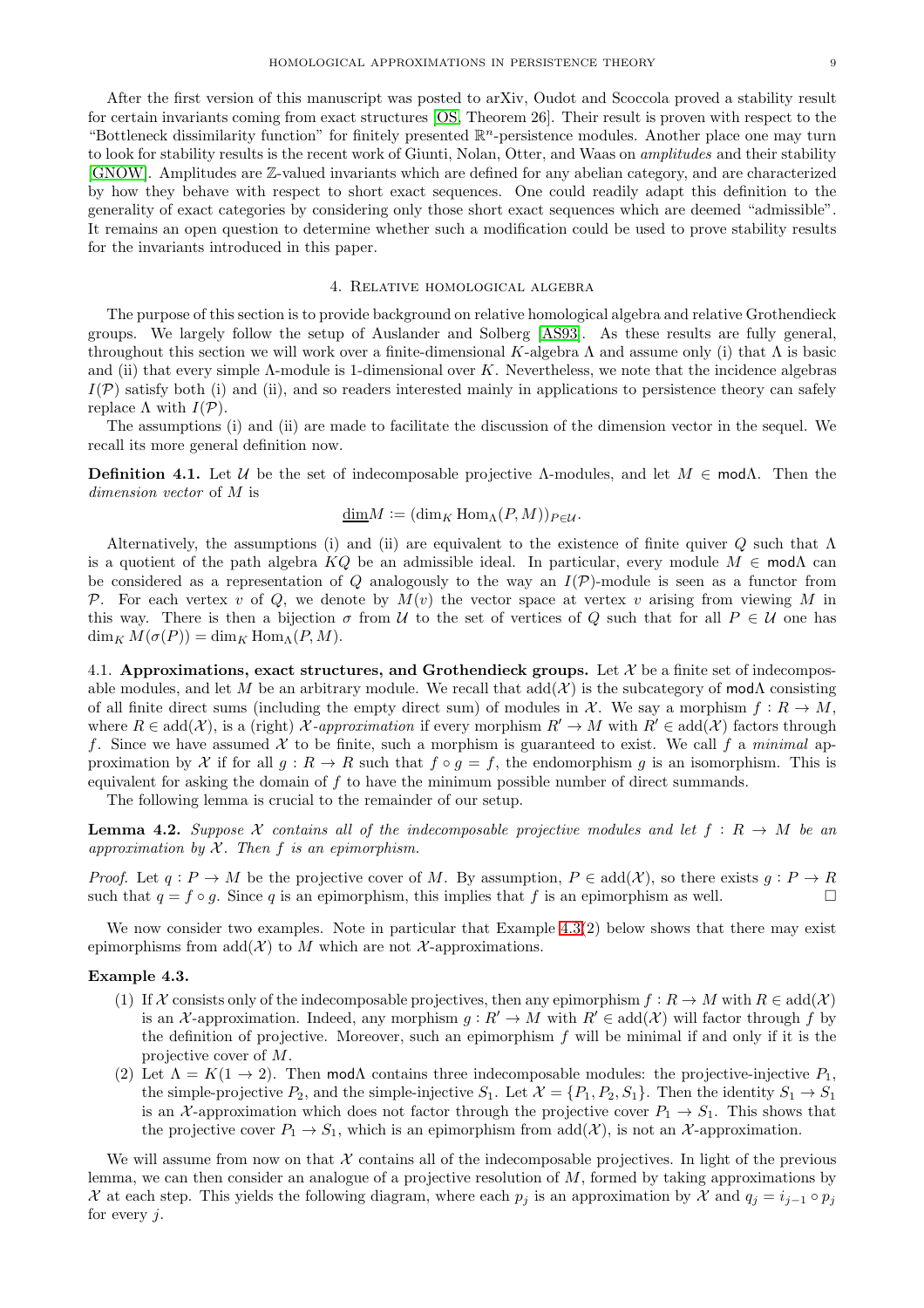After the first version of this manuscript was posted to arXiv, Oudot and Scoccola proved a stability result for certain invariants coming from exact structures [\[OS,](#page-22-11) Theorem 26]. Their result is proven with respect to the "Bottleneck dissimilarity function" for finitely presented  $\mathbb{R}^n$ -persistence modules. Another place one may turn to look for stability results is the recent work of Giunti, Nolan, Otter, and Waas on amplitudes and their stability [\[GNOW\]](#page-21-24). Amplitudes are Z-valued invariants which are defined for any abelian category, and are characterized by how they behave with respect to short exact sequences. One could readily adapt this definition to the generality of exact categories by considering only those short exact sequences which are deemed "admissible". It remains an open question to determine whether such a modification could be used to prove stability results for the invariants introduced in this paper.

## 4. Relative homological algebra

<span id="page-8-0"></span>The purpose of this section is to provide background on relative homological algebra and relative Grothendieck groups. We largely follow the setup of Auslander and Solberg [\[AS93\]](#page-21-13). As these results are fully general, throughout this section we will work over a finite-dimensional K-algebra Λ and assume only (i) that Λ is basic and (ii) that every simple  $\Lambda$ -module is 1-dimensional over K. Nevertheless, we note that the incidence algebras  $I(\mathcal{P})$  satisfy both (i) and (ii), and so readers interested mainly in applications to persistence theory can safely replace  $\Lambda$  with  $I(\mathcal{P})$ .

The assumptions (i) and (ii) are made to facilitate the discussion of the dimension vector in the sequel. We recall its more general definition now.

**Definition 4.1.** Let U be the set of indecomposable projective Λ-modules, and let  $M \in \text{mod}\Lambda$ . Then the dimension vector of M is

# $\underline{\dim}M := (\dim_K \operatorname{Hom}_\Lambda(P,M))_{P \in \mathcal{U}}.$

Alternatively, the assumptions (i) and (ii) are equivalent to the existence of finite quiver  $Q$  such that  $\Lambda$ is a quotient of the path algebra KQ be an admissible ideal. In particular, every module  $M \in \text{mod}\Lambda$  can be considered as a representation of Q analogously to the way an  $I(\mathcal{P})$ -module is seen as a functor from P. For each vertex v of Q, we denote by  $M(v)$  the vector space at vertex v arising from viewing M in this way. There is then a bijection  $\sigma$  from U to the set of vertices of Q such that for all  $P \in U$  one has  $\dim_K M(\sigma(P)) = \dim_K \text{Hom}_\Lambda(P, M).$ 

<span id="page-8-1"></span>4.1. Approximations, exact structures, and Grothendieck groups. Let  $\mathcal X$  be a finite set of indecomposable modules, and let M be an arbitrary module. We recall that  $add(\mathcal{X})$  is the subcategory of modΛ consisting of all finite direct sums (including the empty direct sum) of modules in X. We say a morphism  $f: R \to M$ , where  $R \in \text{add}(\mathcal{X})$ , is a (right) X-approximation if every morphism  $R' \to M$  with  $R' \in \text{add}(\mathcal{X})$  factors through f. Since we have assumed  $\mathcal X$  to be finite, such a morphism is guaranteed to exist. We call f a minimal approximation by X if for all  $g: R \to R$  such that  $f \circ g = f$ , the endomorphism g is an isomorphism. This is equivalent for asking the domain of f to have the minimum possible number of direct summands.

The following lemma is crucial to the remainder of our setup.

<span id="page-8-3"></span>**Lemma 4.2.** Suppose X contains all of the indecomposable projective modules and let  $f: R \to M$  be an approximation by  $X$ . Then  $f$  is an epimorphism.

*Proof.* Let  $q : P \to M$  be the projective cover of M. By assumption,  $P \in \text{add}(\mathcal{X})$ , so there exists  $q : P \to R$ such that  $q = f \circ q$ . Since q is an epimorphism, this implies that f is an epimorphism as well.

We now consider two examples. Note in particular that Example [4.3\(](#page-8-2)2) below shows that there may exist epimorphisms from add( $\mathcal{X}$ ) to M which are not X-approximations.

# <span id="page-8-2"></span>Example 4.3.

- (1) If X consists only of the indecomposable projectives, then any epimorphism  $f : R \to M$  with  $R \in \text{add}(\mathcal{X})$ is an X-approximation. Indeed, any morphism  $g: R' \to M$  with  $R' \in \text{add}(\mathcal{X})$  will factor through f by the definition of projective. Moreover, such an epimorphism  $f$  will be minimal if and only if it is the projective cover of M.
- (2) Let  $\Lambda = K(1 \rightarrow 2)$ . Then mod $\Lambda$  contains three indecomposable modules: the projective-injective  $P_1$ , the simple-projective  $P_2$ , and the simple-injective  $S_1$ . Let  $\mathcal{X} = \{P_1, P_2, S_1\}$ . Then the identity  $S_1 \to S_1$ is an X-approximation which does not factor through the projective cover  $P_1 \rightarrow S_1$ . This shows that the projective cover  $P_1 \rightarrow S_1$ , which is an epimorphism from add( $\chi$ ), is not an  $\chi$ -approximation.

We will assume from now on that X contains all of the indecomposable projectives. In light of the previous lemma, we can then consider an analogue of a projective resolution of M, formed by taking approximations by X at each step. This yields the following diagram, where each  $p_j$  is an approximation by X and  $q_j = i_{j-1} \circ p_j$ for every  $i$ .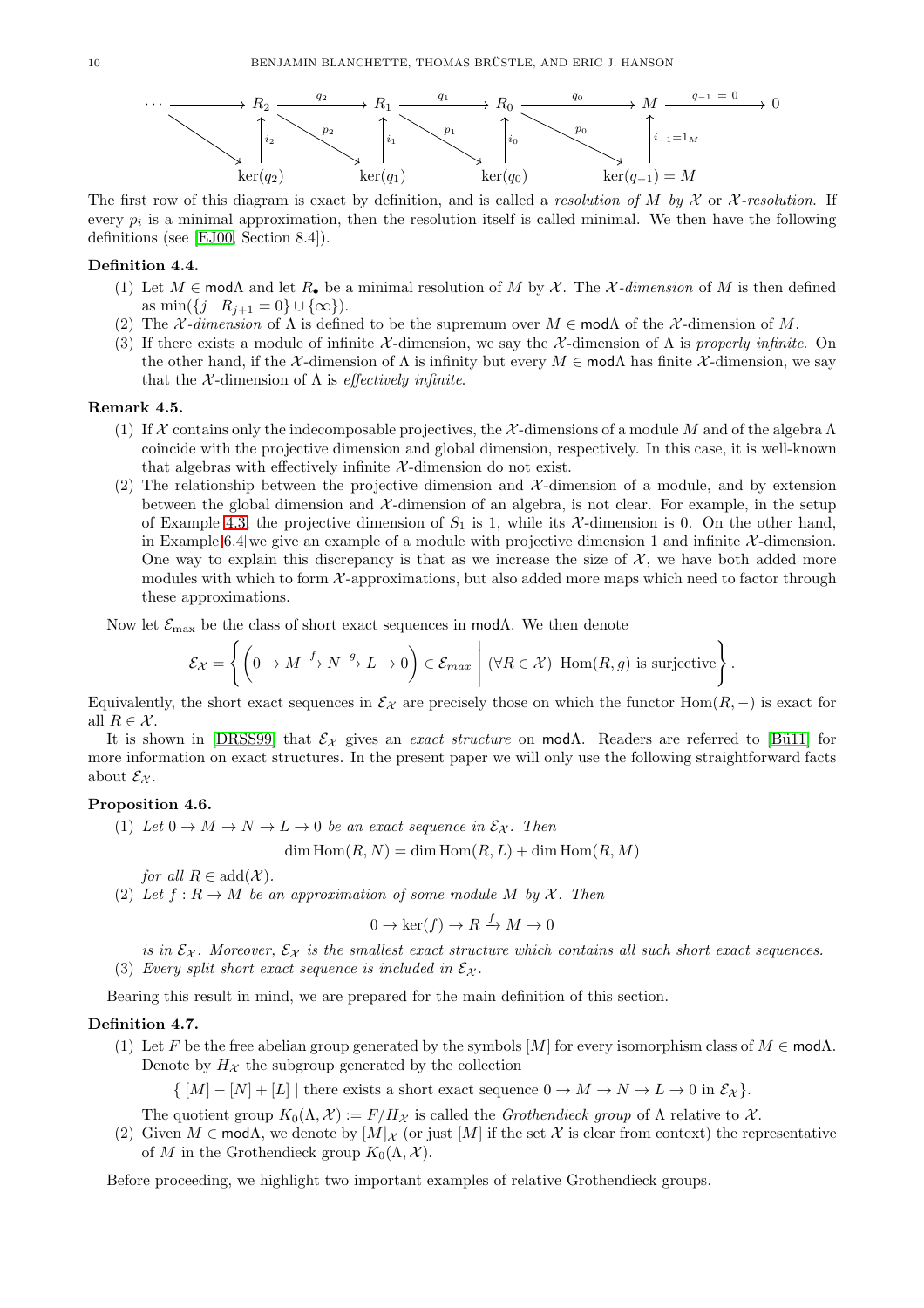

The first row of this diagram is exact by definition, and is called a resolution of M by X or X-resolution. If every  $p_i$  is a minimal approximation, then the resolution itself is called minimal. We then have the following definitions (see [\[EJ00,](#page-21-25) Section 8.4]).

# <span id="page-9-0"></span>Definition 4.4.

- (1) Let  $M \in \text{mod}\Lambda$  and let  $R_{\bullet}$  be a minimal resolution of M by X. The X-dimension of M is then defined as  $\min(\{j \mid R_{j+1} = 0\} \cup \{\infty\}).$
- (2) The  $\mathcal X$ -dimension of  $\Lambda$  is defined to be the supremum over  $M \in \mathsf{mod}\Lambda$  of the  $\mathcal X$ -dimension of M.
- (3) If there exists a module of infinite X-dimension, we say the X-dimension of  $\Lambda$  is properly infinite. On the other hand, if the X-dimension of  $\Lambda$  is infinity but every  $M \in \mathsf{mod}\Lambda$  has finite X-dimension, we say that the  $\mathcal{X}$ -dimension of  $\Lambda$  is *effectively infinite*.

### Remark 4.5.

- (1) If X contains only the indecomposable projectives, the X-dimensions of a module M and of the algebra  $\Lambda$ coincide with the projective dimension and global dimension, respectively. In this case, it is well-known that algebras with effectively infinite  $\mathcal{X}$ -dimension do not exist.
- (2) The relationship between the projective dimension and  $\mathcal{X}$ -dimension of a module, and by extension between the global dimension and  $\mathcal{X}$ -dimension of an algebra, is not clear. For example, in the setup of Example [4.3,](#page-8-2) the projective dimension of  $S_1$  is 1, while its X-dimension is 0. On the other hand, in Example [6.4](#page-16-3) we give an example of a module with projective dimension 1 and infinite  $\mathcal{X}$ -dimension. One way to explain this discrepancy is that as we increase the size of  $\mathcal{X}$ , we have both added more modules with which to form  $\mathcal{X}$ -approximations, but also added more maps which need to factor through these approximations.

Now let  $\mathcal{E}_{\text{max}}$  be the class of short exact sequences in modΛ. We then denote

$$
\mathcal{E}_{\mathcal{X}} = \left\{ \left( 0 \to M \xrightarrow{f} N \xrightarrow{g} L \to 0 \right) \in \mathcal{E}_{max} \mid (\forall R \in \mathcal{X}) \text{ Hom}(R, g) \text{ is surjective} \right\}.
$$

Equivalently, the short exact sequences in  $\mathcal{E}_{\mathcal{X}}$  are precisely those on which the functor Hom( $R, -$ ) is exact for all  $R \in \mathcal{X}$ .

It is shown in [\[DRSS99\]](#page-21-26) that  $\mathcal{E}_{\chi}$  gives an *exact structure* on mod $\Lambda$ . Readers are referred to [Bü11] for more information on exact structures. In the present paper we will only use the following straightforward facts about  $\mathcal{E}_{\mathcal{X}}$ .

## <span id="page-9-2"></span>Proposition 4.6.

(1) Let  $0 \to M \to N \to L \to 0$  be an exact sequence in  $\mathcal{E}_{\mathcal{X}}$ . Then

$$
\dim \text{Hom}(R, N) = \dim \text{Hom}(R, L) + \dim \text{Hom}(R, M)
$$

for all  $R \in \text{add}(\mathcal{X})$ .

(2) Let  $f: R \to M$  be an approximation of some module M by X. Then

$$
0 \to \ker(f) \to R \xrightarrow{f} M \to 0
$$

is in  $\mathcal{E}_{\chi}$ . Moreover,  $\mathcal{E}_{\chi}$  is the smallest exact structure which contains all such short exact sequences.

(3) Every split short exact sequence is included in  $\mathcal{E}_{\chi}$ .

Bearing this result in mind, we are prepared for the main definition of this section.

## <span id="page-9-1"></span>Definition 4.7.

(1) Let F be the free abelian group generated by the symbols  $[M]$  for every isomorphism class of  $M \in \text{mod}\Lambda$ . Denote by  $H_{\mathcal{X}}$  the subgroup generated by the collection

 $\{ [M] - [N] + [L] \}$  there exists a short exact sequence  $0 \to M \to N \to L \to 0$  in  $\mathcal{E}_{\mathcal{X}}$ .

The quotient group  $K_0(\Lambda, \mathcal{X}) := F/H_{\mathcal{X}}$  is called the *Grothendieck group* of  $\Lambda$  relative to  $\mathcal{X}$ .

(2) Given  $M \in \text{mod}\Lambda$ , we denote by  $[M]_{\mathcal{X}}$  (or just  $[M]$  if the set X is clear from context) the representative of M in the Grothendieck group  $K_0(\Lambda, \mathcal{X})$ .

Before proceeding, we highlight two important examples of relative Grothendieck groups.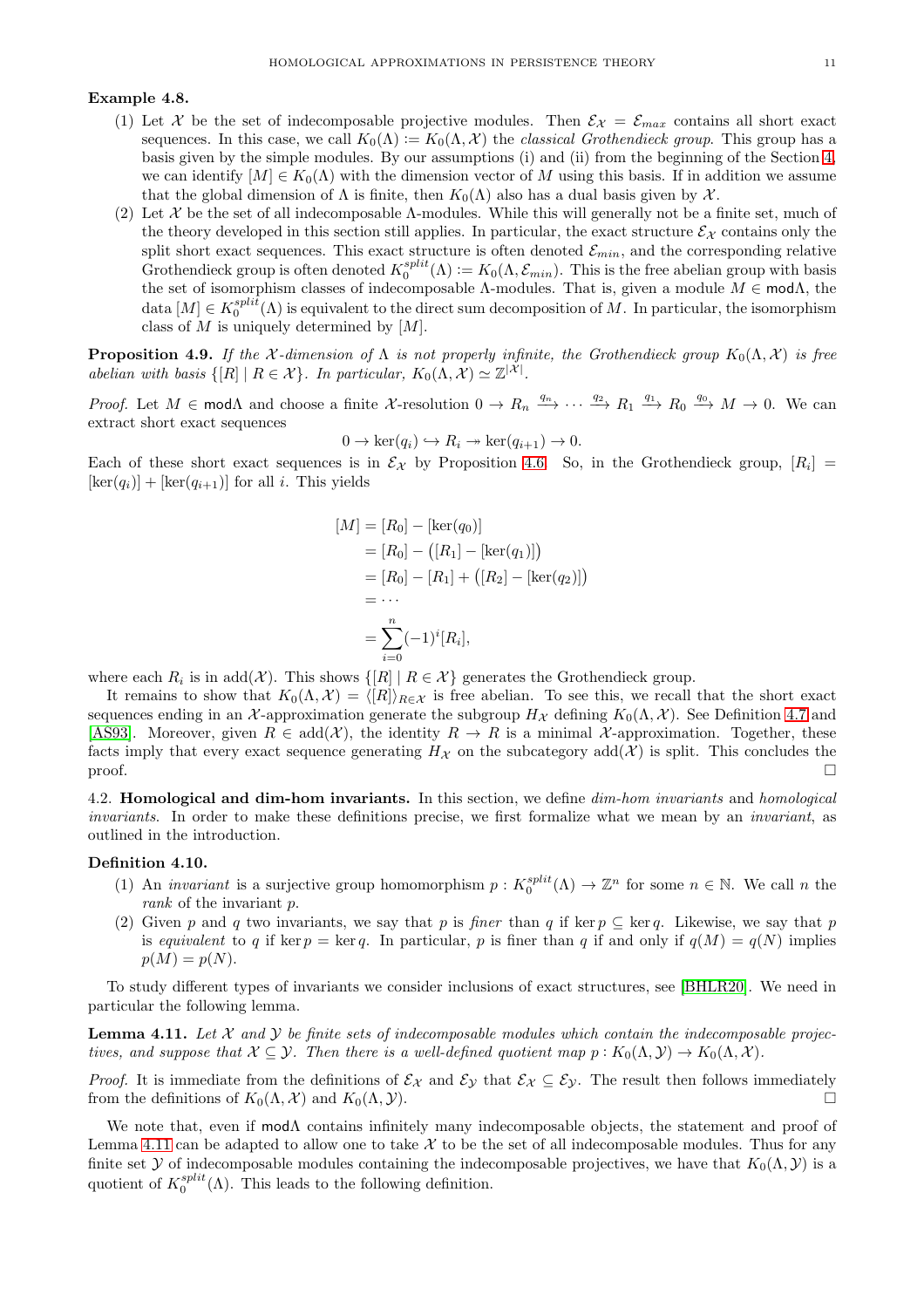# Example 4.8.

- (1) Let X be the set of indecomposable projective modules. Then  $\mathcal{E}_{\chi} = \mathcal{E}_{max}$  contains all short exact sequences. In this case, we call  $K_0(\Lambda) := K_0(\Lambda, \mathcal{X})$  the *classical Grothendieck group*. This group has a basis given by the simple modules. By our assumptions (i) and (ii) from the beginning of the Section [4,](#page-8-0) we can identify  $[M] \in K_0(\Lambda)$  with the dimension vector of M using this basis. If in addition we assume that the global dimension of  $\Lambda$  is finite, then  $K_0(\Lambda)$  also has a dual basis given by  $\mathcal X$ .
- (2) Let  $\mathcal X$  be the set of all indecomposable  $\Lambda$ -modules. While this will generally not be a finite set, much of the theory developed in this section still applies. In particular, the exact structure  $\mathcal{E}_{\chi}$  contains only the split short exact sequences. This exact structure is often denoted  $\mathcal{E}_{min}$ , and the corresponding relative Grothendieck group is often denoted  $K_0^{split}(\Lambda) := K_0(\Lambda, \mathcal{E}_{min})$ . This is the free abelian group with basis the set of isomorphism classes of indecomposable  $\Lambda$ -modules. That is, given a module  $M \in \text{mod}\Lambda$ , the data  $[M] \in K_0^{split}(\Lambda)$  is equivalent to the direct sum decomposition of M. In particular, the isomorphism class of  $M$  is uniquely determined by  $[M]$ .

<span id="page-10-3"></span>**Proposition 4.9.** If the X-dimension of  $\Lambda$  is not properly infinite, the Grothendieck group  $K_0(\Lambda, \mathcal{X})$  is free abelian with basis  $\{[R] | R \in \mathcal{X}\}\$ . In particular,  $K_0(\Lambda, \mathcal{X}) \simeq \mathbb{Z}^{|\mathcal{X}|}$ .

Proof. Let  $M \in \text{mod}\Lambda$  and choose a finite X-resolution  $0 \to R_n \xrightarrow{q_n} \cdots \xrightarrow{q_2} R_1 \xrightarrow{q_1} R_0 \xrightarrow{q_0} M \to 0$ . We can extract short exact sequences

$$
0 \to \ker(q_i) \hookrightarrow R_i \to \ker(q_{i+1}) \to 0.
$$

Each of these short exact sequences is in  $\mathcal{E}_{\mathcal{X}}$  by Proposition [4.6.](#page-9-2) So, in the Grothendieck group,  $[R_i]$  =  $[\ker(q_i)] + [\ker(q_{i+1})]$  for all i. This yields

$$
[M] = [R_0] - [\ker(q_0)]
$$
  
=  $[R_0] - ([R_1] - [\ker(q_1)])$   
=  $[R_0] - [R_1] + ([R_2] - [\ker(q_2)])$   
= ...  
=  $\sum_{i=0}^{n} (-1)^i [R_i],$ 

where each  $R_i$  is in add( $\mathcal{X}$ ). This shows  $\{[R] | R \in \mathcal{X}\}$  generates the Grothendieck group.

It remains to show that  $K_0(\Lambda, \mathcal{X}) = \langle [R] \rangle_{R \in \mathcal{X}}$  is free abelian. To see this, we recall that the short exact sequences ending in an X-approximation generate the subgroup  $H_X$  defining  $K_0(\Lambda, \mathcal{X})$ . See Definition [4.7](#page-9-1) and [\[AS93\]](#page-21-13). Moreover, given  $R \in \text{add}(\mathcal{X})$ , the identity  $R \to R$  is a minimal X-approximation. Together, these facts imply that every exact sequence generating  $H_X$  on the subcategory add(X) is split. This concludes the  $\Box$ 

<span id="page-10-1"></span>4.2. Homological and dim-hom invariants. In this section, we define dim-hom invariants and homological invariants. In order to make these definitions precise, we first formalize what we mean by an invariant, as outlined in the introduction.

### <span id="page-10-0"></span>Definition 4.10.

- (1) An *invariant* is a surjective group homomorphism  $p: K_0^{split}(\Lambda) \to \mathbb{Z}^n$  for some  $n \in \mathbb{N}$ . We call n the rank of the invariant p.
- (2) Given p and q two invariants, we say that p is finer than q if ker  $p \subseteq \text{ker } q$ . Likewise, we say that p is equivalent to q if ker  $p = \text{ker } q$ . In particular, p is finer than q if and only if  $q(M) = q(N)$  implies  $p(M) = p(N).$

To study different types of invariants we consider inclusions of exact structures, see [\[BHLR20\]](#page-21-28). We need in particular the following lemma.

<span id="page-10-2"></span>**Lemma 4.11.** Let X and Y be finite sets of indecomposable modules which contain the indecomposable projectives, and suppose that  $\mathcal{X} \subseteq \mathcal{Y}$ . Then there is a well-defined quotient map  $p : K_0(\Lambda, \mathcal{Y}) \to K_0(\Lambda, \mathcal{X})$ .

*Proof.* It is immediate from the definitions of  $\mathcal{E}_{\chi}$  and  $\mathcal{E}_{\chi}$  that  $\mathcal{E}_{\chi} \subseteq \mathcal{E}_{\chi}$ . The result then follows immediately from the definitions of  $K_0(\Lambda, \mathcal{X})$  and  $K_0(\Lambda, \mathcal{Y})$ .

We note that, even if modΛ contains infinitely many indecomposable objects, the statement and proof of Lemma [4.11](#page-10-2) can be adapted to allow one to take  $\mathcal X$  to be the set of all indecomposable modules. Thus for any finite set  $\mathcal Y$  of indecomposable modules containing the indecomposable projectives, we have that  $K_0(\Lambda, \mathcal Y)$  is a quotient of  $K_0^{split}(\Lambda)$ . This leads to the following definition.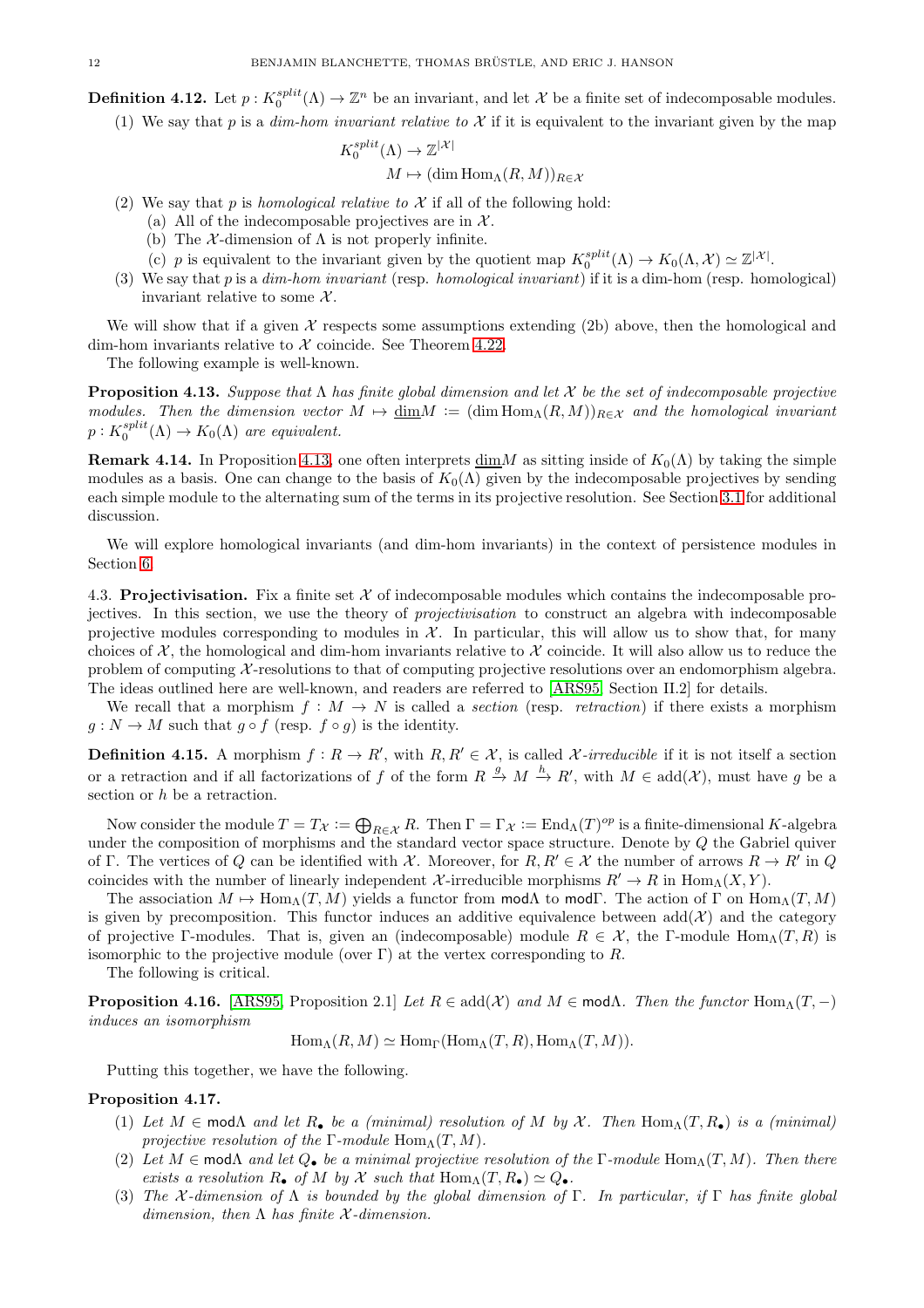<span id="page-11-0"></span>**Definition 4.12.** Let  $p: K_0^{split}(\Lambda) \to \mathbb{Z}^n$  be an invariant, and let X be a finite set of indecomposable modules.

(1) We say that p is a dim-hom invariant relative to X if it is equivalent to the invariant given by the map

$$
K_0^{split}(\Lambda) \to \mathbb{Z}^{|\mathcal{X}|}
$$

$$
M \mapsto (\dim \text{Hom}_{\Lambda}(R, M))_{R \in \mathcal{X}}
$$

- (2) We say that p is *homological relative to*  $X$  if all of the following hold:
	- (a) All of the indecomposable projectives are in  $\mathcal{X}$ .
	- (b) The  $\mathcal{X}$ -dimension of  $\Lambda$  is not properly infinite.
	- (c) p is equivalent to the invariant given by the quotient map  $K_0^{split}(\Lambda) \to K_0(\Lambda, \mathcal{X}) \simeq \mathbb{Z}^{|\mathcal{X}|}$ .
- (3) We say that p is a  $dim\text{-}hom\text{-}invariant$  (resp. homological invariant) if it is a dim-hom (resp. homological) invariant relative to some  $\mathcal{X}$ .

We will show that if a given  $\mathcal X$  respects some assumptions extending (2b) above, then the homological and dim-hom invariants relative to  $X$  coincide. See Theorem [4.22.](#page-12-1)

The following example is well-known.

<span id="page-11-2"></span>**Proposition 4.13.** Suppose that  $\Lambda$  has finite global dimension and let  $\mathcal X$  be the set of indecomposable projective modules. Then the dimension vector  $M \mapsto \underline{\dim}M := (\dim \text{Hom}_{\Lambda}(R, M))_{R \in \mathcal{X}}$  and the homological invariant  $p: K_0^{split}(\Lambda) \to K_0(\Lambda)$  are equivalent.

**Remark 4.14.** In Proposition [4.13,](#page-11-2) one often interprets  $\dim M$  as sitting inside of  $K_0(\Lambda)$  by taking the simple modules as a basis. One can change to the basis of  $K_0(\Lambda)$  given by the indecomposable projectives by sending each simple module to the alternating sum of the terms in its projective resolution. See Section [3.1](#page-5-1) for additional discussion.

We will explore homological invariants (and dim-hom invariants) in the context of persistence modules in Section [6.](#page-16-0)

<span id="page-11-1"></span>4.3. Projectivisation. Fix a finite set  $X$  of indecomposable modules which contains the indecomposable projectives. In this section, we use the theory of projectivisation to construct an algebra with indecomposable projective modules corresponding to modules in  $\mathcal{X}$ . In particular, this will allow us to show that, for many choices of  $\mathcal{X}$ , the homological and dim-hom invariants relative to  $\mathcal{X}$  coincide. It will also allow us to reduce the problem of computing  $\mathcal{X}$ -resolutions to that of computing projective resolutions over an endomorphism algebra. The ideas outlined here are well-known, and readers are referred to [\[ARS95,](#page-21-7) Section II.2] for details.

We recall that a morphism  $f : M \to N$  is called a section (resp. retraction) if there exists a morphism  $g: N \to M$  such that  $g \circ f$  (resp.  $f \circ g$ ) is the identity.

<span id="page-11-5"></span>**Definition 4.15.** A morphism  $f: R \to R'$ , with  $R, R' \in \mathcal{X}$ , is called X-irreducible if it is not itself a section or a retraction and if all factorizations of f of the form  $R \stackrel{g}{\to} M \stackrel{h}{\to} R'$ , with  $M \in \text{add}(\mathcal{X})$ , must have g be a section or  $h$  be a retraction.

Now consider the module  $T = T_{\mathcal{X}} := \bigoplus_{R \in \mathcal{X}} R$ . Then  $\Gamma = \Gamma_{\mathcal{X}} := \text{End}_{\Lambda}(T)^{op}$  is a finite-dimensional K-algebra under the composition of morphisms and the standard vector space structure. Denote by Q the Gabriel quiver of Γ. The vertices of Q can be identified with X. Moreover, for  $R, R' \in \mathcal{X}$  the number of arrows  $R \to R'$  in Q coincides with the number of linearly independent  $\mathcal{X}\text{-irreducible morphisms } R' \to R$  in  $\text{Hom}_{\Lambda}(X, Y)$ .

The association  $M \mapsto \text{Hom}_{\Lambda}(T, M)$  yields a functor from mod $\Lambda$  to modΓ. The action of Γ on  $\text{Hom}_{\Lambda}(T, M)$ is given by precomposition. This functor induces an additive equivalence between  $add(\mathcal{X})$  and the category of projective Γ-modules. That is, given an (indecomposable) module  $R \in \mathcal{X}$ , the Γ-module Hom<sub>Λ</sub>(T, R) is isomorphic to the projective module (over  $\Gamma$ ) at the vertex corresponding to  $R$ .

The following is critical.

<span id="page-11-3"></span>**Proposition 4.16.** [\[ARS95,](#page-21-7) Proposition 2.1] Let  $R \in \text{add}(\mathcal{X})$  and  $M \in \text{mod}\Lambda$ . Then the functor  $\text{Hom}_{\Lambda}(T, -)$ induces an isomorphism

$$
\text{Hom}_{\Lambda}(R, M) \simeq \text{Hom}_{\Gamma}(\text{Hom}_{\Lambda}(T, R), \text{Hom}_{\Lambda}(T, M)).
$$

Putting this together, we have the following.

# <span id="page-11-4"></span>Proposition 4.17.

- (1) Let  $M \in \text{mod}\Lambda$  and let  $R_{\bullet}$  be a (minimal) resolution of M by X. Then  $\text{Hom}_{\Lambda}(T, R_{\bullet})$  is a (minimal) projective resolution of the  $\Gamma$ -module  $\text{Hom}_{\Lambda}(T, M)$ .
- (2) Let  $M \in \text{mod}\Lambda$  and let  $Q_{\bullet}$  be a minimal projective resolution of the Γ-module Hom $\Lambda(T, M)$ . Then there exists a resolution  $R_{\bullet}$  of M by X such that  $\text{Hom}_{\Lambda}(T, R_{\bullet}) \simeq Q_{\bullet}$ .
- (3) The X-dimension of  $\Lambda$  is bounded by the global dimension of Γ. In particular, if Γ has finite global dimension, then  $\Lambda$  has finite  $\mathcal{X}$ -dimension.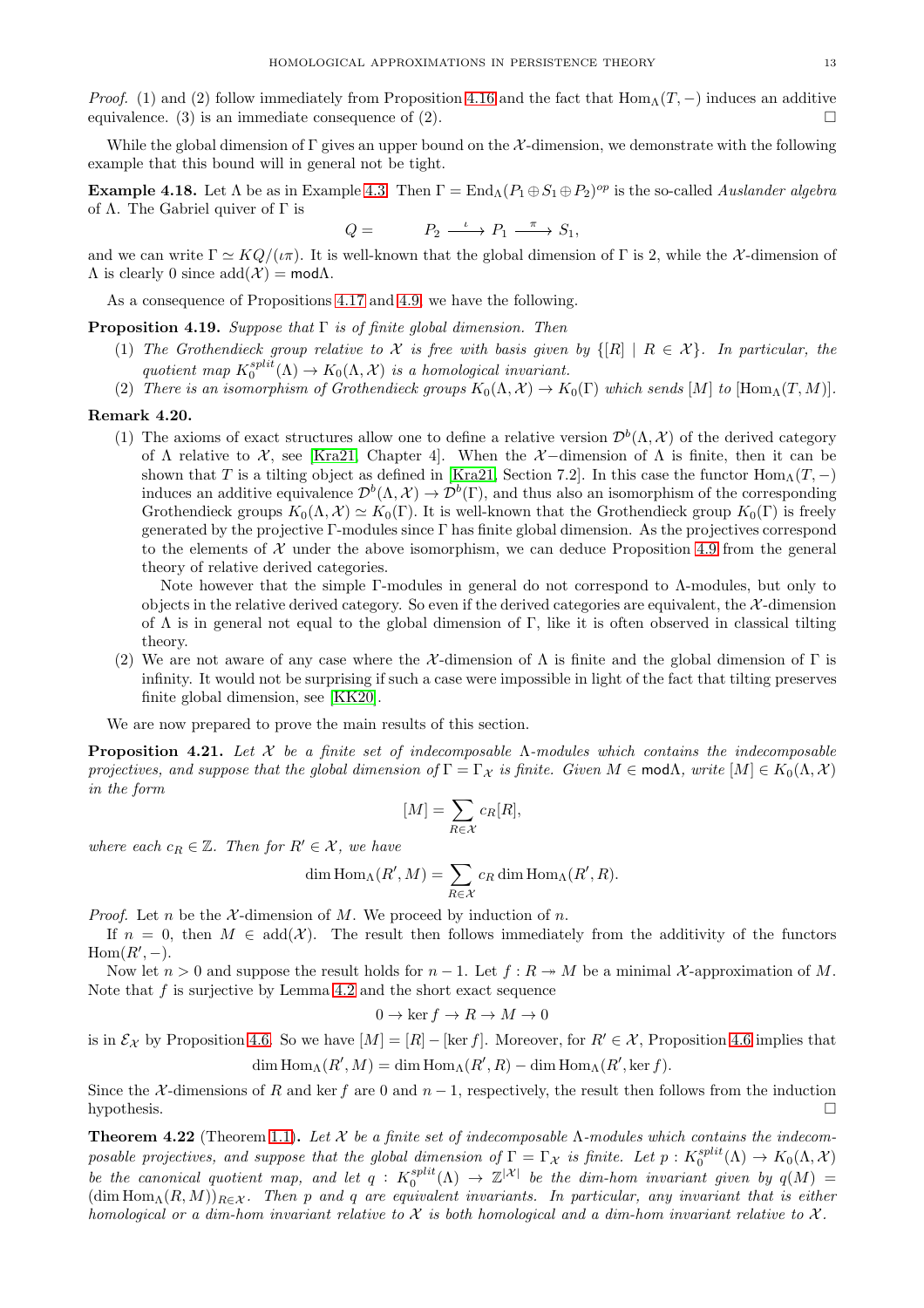*Proof.* (1) and (2) follow immediately from Proposition [4.16](#page-11-3) and the fact that  $\text{Hom}_{\Lambda}(T, -)$  induces an additive equivalence. (3) is an immediate consequence of (2).

While the global dimension of  $\Gamma$  gives an upper bound on the X-dimension, we demonstrate with the following example that this bound will in general not be tight.

**Example 4.18.** Let  $\Lambda$  be as in Example [4.3.](#page-8-2) Then  $\Gamma = \text{End}_{\Lambda}(P_1 \oplus S_1 \oplus P_2)^{op}$  is the so-called Auslander algebra of  $\Lambda$ . The Gabriel quiver of  $\Gamma$  is

$$
Q = \qquad P_2 \xrightarrow{\iota} P_1 \xrightarrow{\pi} S_1,
$$

and we can write  $\Gamma \simeq KQ/(\iota\pi)$ . It is well-known that the global dimension of  $\Gamma$  is 2, while the X-dimension of  $Λ$  is clearly 0 since add $(X)$  = mod $Λ$ .

As a consequence of Propositions [4.17](#page-11-4) and [4.9,](#page-10-3) we have the following.

<span id="page-12-0"></span>**Proposition 4.19.** Suppose that  $\Gamma$  is of finite global dimension. Then

- (1) The Grothendieck group relative to X is free with basis given by  $\{[R] | R \in \mathcal{X}\}\$ . In particular, the quotient map  $K_0^{split}(\Lambda) \to K_0(\Lambda, \mathcal{X})$  is a homological invariant.
- (2) There is an isomorphism of Grothendieck groups  $K_0(\Lambda, \mathcal{X}) \to K_0(\Gamma)$  which sends  $[M]$  to  $[\text{Hom}_{\Lambda}(T, M)]$ .

# <span id="page-12-3"></span>Remark 4.20.

(1) The axioms of exact structures allow one to define a relative version  $\mathcal{D}^b(\Lambda,\mathcal{X})$  of the derived category of  $\Lambda$  relative to  $\mathcal{X}$ , see [\[Kra21,](#page-22-12) Chapter 4]. When the  $\mathcal{X}-$ dimension of  $\Lambda$  is finite, then it can be shown that T is a tilting object as defined in [\[Kra21,](#page-22-12) Section 7.2]. In this case the functor  $\text{Hom}_{\Lambda}(T, -)$ induces an additive equivalence  $\mathcal{D}^b(\Lambda,\mathcal{X})\to\mathcal{D}^b(\Gamma)$ , and thus also an isomorphism of the corresponding Grothendieck groups  $K_0(\Lambda, \mathcal{X}) \simeq K_0(\Gamma)$ . It is well-known that the Grothendieck group  $K_0(\Gamma)$  is freely generated by the projective Γ-modules since Γ has finite global dimension. As the projectives correspond to the elements of  $\mathcal X$  under the above isomorphism, we can deduce Proposition [4.9](#page-10-3) from the general theory of relative derived categories.

Note however that the simple Γ-modules in general do not correspond to Λ-modules, but only to objects in the relative derived category. So even if the derived categories are equivalent, the  $\chi$ -dimension of  $\Lambda$  is in general not equal to the global dimension of Γ, like it is often observed in classical tilting theory.

(2) We are not aware of any case where the X-dimension of  $\Lambda$  is finite and the global dimension of  $\Gamma$  is infinity. It would not be surprising if such a case were impossible in light of the fact that tilting preserves finite global dimension, see [\[KK20\]](#page-22-13).

We are now prepared to prove the main results of this section.

<span id="page-12-2"></span>**Proposition 4.21.** Let  $\mathcal{X}$  be a finite set of indecomposable  $\Lambda$ -modules which contains the indecomposable projectives, and suppose that the global dimension of  $\Gamma = \Gamma_{\mathcal{X}}$  is finite. Given  $M \in \text{mod}\Lambda$ , write  $[M] \in K_0(\Lambda, \mathcal{X})$ in the form

$$
[M] = \sum_{R \in \mathcal{X}} c_R[R],
$$

where each  $c_R \in \mathbb{Z}$ . Then for  $R' \in \mathcal{X}$ , we have

$$
\dim \text{Hom}_{\Lambda}(R',M) = \sum_{R \in \mathcal{X}} c_R \dim \text{Hom}_{\Lambda}(R',R).
$$

*Proof.* Let n be the  $\mathcal{X}$ -dimension of M. We proceed by induction of n.

If  $n = 0$ , then  $M \in \text{add}(\mathcal{X})$ . The result then follows immediately from the additivity of the functors  $Hom(R', -).$ 

Now let  $n > 0$  and suppose the result holds for  $n - 1$ . Let  $f : R \rightarrow M$  be a minimal X-approximation of M. Note that  $f$  is surjective by Lemma [4.2](#page-8-3) and the short exact sequence

$$
0 \to \ker f \to R \to M \to 0
$$

is in  $\mathcal{E}_{\mathcal{X}}$  by Proposition [4.6.](#page-9-2) So we have  $[M] = [R] - [\text{ker } f]$ . Moreover, for  $R' \in \mathcal{X}$ , Proposition [4.6](#page-9-2) implies that  $\dim \text{Hom}_{\Lambda}(R',M) = \dim \text{Hom}_{\Lambda}(R',R) - \dim \text{Hom}_{\Lambda}(R',\ker f).$ 

Since the X-dimensions of R and ker f are 0 and  $n-1$ , respectively, the result then follows from the induction hypothesis.

<span id="page-12-1"></span>**Theorem 4.22** (Theorem [1.1\)](#page-2-2). Let X be a finite set of indecomposable  $\Lambda$ -modules which contains the indecomposable projectives, and suppose that the global dimension of  $\Gamma = \Gamma_{\mathcal{X}}$  is finite. Let  $p: K_0^{split}(\Lambda) \to K_0(\Lambda, \mathcal{X})$ be the canonical quotient map, and let  $q: K_0^{split}(\Lambda) \to \mathbb{Z}^{|\mathcal{X}|}$  be the dim-hom invariant given by  $q(M)$  =  $(\dim \text{Hom}_{\Lambda}(R, M))_{R \in \mathcal{X}}$ . Then p and q are equivalent invariants. In particular, any invariant that is either homological or a dim-hom invariant relative to  $\mathcal X$  is both homological and a dim-hom invariant relative to  $\mathcal X$ .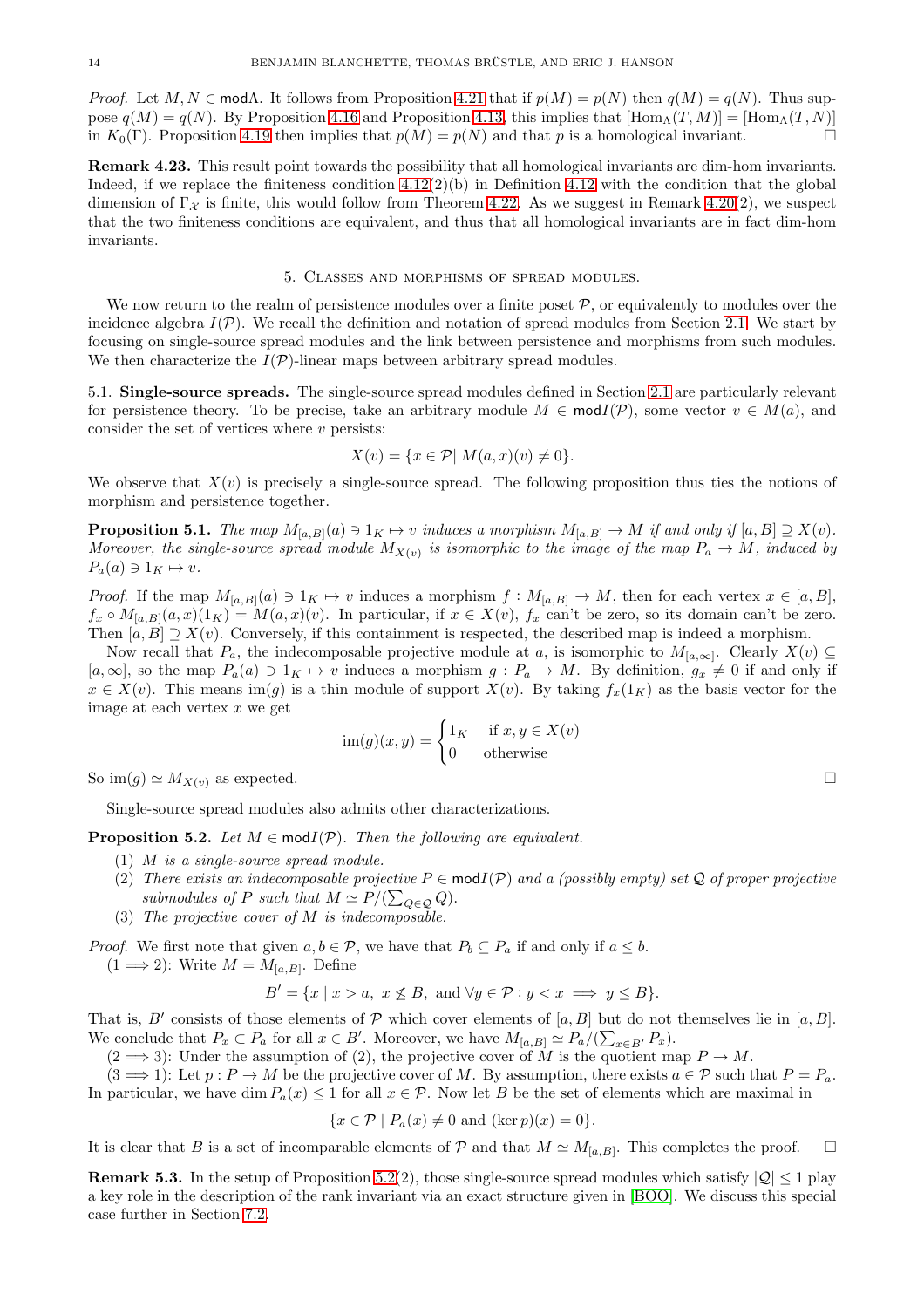*Proof.* Let  $M, N \in \text{mod}\Lambda$ . It follows from Proposition [4.21](#page-12-2) that if  $p(M) = p(N)$  then  $q(M) = q(N)$ . Thus suppose  $q(M) = q(N)$ . By Proposition [4.16](#page-11-3) and Proposition [4.13,](#page-11-2) this implies that  $[\text{Hom}_{\Lambda}(T, M)] = [\text{Hom}_{\Lambda}(T, N)]$ in  $K_0(\Gamma)$ . Proposition [4.19](#page-12-0) then implies that  $p(M) = p(N)$  and that p is a homological invariant.

Remark 4.23. This result point towards the possibility that all homological invariants are dim-hom invariants. Indeed, if we replace the finiteness condition  $4.12(2)(b)$  $4.12(2)(b)$  in Definition  $4.12$  with the condition that the global dimension of  $\Gamma_{\mathcal{X}}$  is finite, this would follow from Theorem [4.22.](#page-12-1) As we suggest in Remark [4.20\(](#page-12-3)2), we suspect that the two finiteness conditions are equivalent, and thus that all homological invariants are in fact dim-hom invariants.

### 5. Classes and morphisms of spread modules.

<span id="page-13-0"></span>We now return to the realm of persistence modules over a finite poset  $P$ , or equivalently to modules over the incidence algebra  $I(\mathcal{P})$ . We recall the definition and notation of spread modules from Section [2.1.](#page-3-2) We start by focusing on single-source spread modules and the link between persistence and morphisms from such modules. We then characterize the  $I(\mathcal{P})$ -linear maps between arbitrary spread modules.

5.1. Single-source spreads. The single-source spread modules defined in Section [2.1](#page-3-2) are particularly relevant for persistence theory. To be precise, take an arbitrary module  $M \in \text{mod}I(\mathcal{P})$ , some vector  $v \in M(a)$ , and consider the set of vertices where  $v$  persists:

$$
X(v) = \{ x \in \mathcal{P} | M(a, x)(v) \neq 0 \}.
$$

We observe that  $X(v)$  is precisely a single-source spread. The following proposition thus ties the notions of morphism and persistence together.

<span id="page-13-1"></span>**Proposition 5.1.** The map  $M_{[a,B]}(a) \ni 1_K \mapsto v$  induces a morphism  $M_{[a,B]} \to M$  if and only if  $[a, B] \supseteq X(v)$ . Moreover, the single-source spread module  $M_{X(v)}$  is isomorphic to the image of the map  $P_a \to M$ , induced by  $P_a(a) \ni 1_K \mapsto v.$ 

*Proof.* If the map  $M_{[a,B]}(a) \ni 1_K \mapsto v$  induces a morphism  $f : M_{[a,B]} \to M$ , then for each vertex  $x \in [a,B]$ ,  $f_x \circ M_{[a,B]}(a,x)(1_K) = M(a,x)(v)$ . In particular, if  $x \in X(v)$ ,  $f_x$  can't be zero, so its domain can't be zero. Then  $[a, B] \supseteq X(v)$ . Conversely, if this containment is respected, the described map is indeed a morphism.

Now recall that  $P_a$ , the indecomposable projective module at a, is isomorphic to  $M_{[a,\infty]}$ . Clearly  $X(v) \subseteq$  $[a,\infty]$ , so the map  $P_a(a) \ni 1_K \mapsto v$  induces a morphism  $g: P_a \to M$ . By definition,  $g_x \neq 0$  if and only if  $x \in X(v)$ . This means im(g) is a thin module of support  $X(v)$ . By taking  $f_x(1_K)$  as the basis vector for the image at each vertex  $x$  we get

$$
\text{im}(g)(x, y) = \begin{cases} 1_K & \text{if } x, y \in X(v) \\ 0 & \text{otherwise} \end{cases}
$$

So  $\text{im}(g) \simeq M_{X(v)}$  as expected.

Single-source spread modules also admits other characterizations.

<span id="page-13-2"></span>**Proposition 5.2.** Let  $M \in \text{mod}I(\mathcal{P})$ . Then the following are equivalent.

- (1) M is a single-source spread module.
- (2) There exists an indecomposable projective  $P \in \text{mod} I(\mathcal{P})$  and a (possibly empty) set Q of proper projective submodules of P such that  $M \simeq P/(\sum_{Q \in \mathcal{Q}} Q)$ .
- (3) The projective cover of M is indecomposable.

*Proof.* We first note that given  $a, b \in \mathcal{P}$ , we have that  $P_b \subseteq P_a$  if and only if  $a \leq b$ .

 $(1 \Longrightarrow 2)$ : Write  $M = M_{[a,B]}$ . Define

$$
B' = \{x \mid x > a, \ x \not\leq B, \text{ and } \forall y \in \mathcal{P} : y < x \implies y \leq B\}.
$$

That is, B' consists of those elements of  $P$  which cover elements of [a, B] but do not themselves lie in [a, B]. We conclude that  $P_x \subset P_a$  for all  $x \in B'$ . Moreover, we have  $M_{[a,B]} \simeq P_a/(\sum_{x \in B'} P_x)$ .

 $(2 \implies 3)$ : Under the assumption of (2), the projective cover of M is the quotient map  $P \to M$ .

 $(3 \implies 1)$ : Let  $p : P \to M$  be the projective cover of M. By assumption, there exists  $a \in \mathcal{P}$  such that  $P = P_a$ . In particular, we have dim  $P_a(x) \leq 1$  for all  $x \in \mathcal{P}$ . Now let B be the set of elements which are maximal in

$$
\{x \in \mathcal{P} \mid P_a(x) \neq 0 \text{ and } (\ker p)(x) = 0\}.
$$

It is clear that B is a set of incomparable elements of P and that  $M \simeq M_{[a,B]}$ . This completes the proof.  $\square$ 

**Remark 5.3.** In the setup of Proposition [5.2\(](#page-13-2)2), those single-source spread modules which satisfy  $|Q| < 1$  play a key role in the description of the rank invariant via an exact structure given in [\[BOO\]](#page-21-11). We discuss this special case further in Section [7.2.](#page-18-4)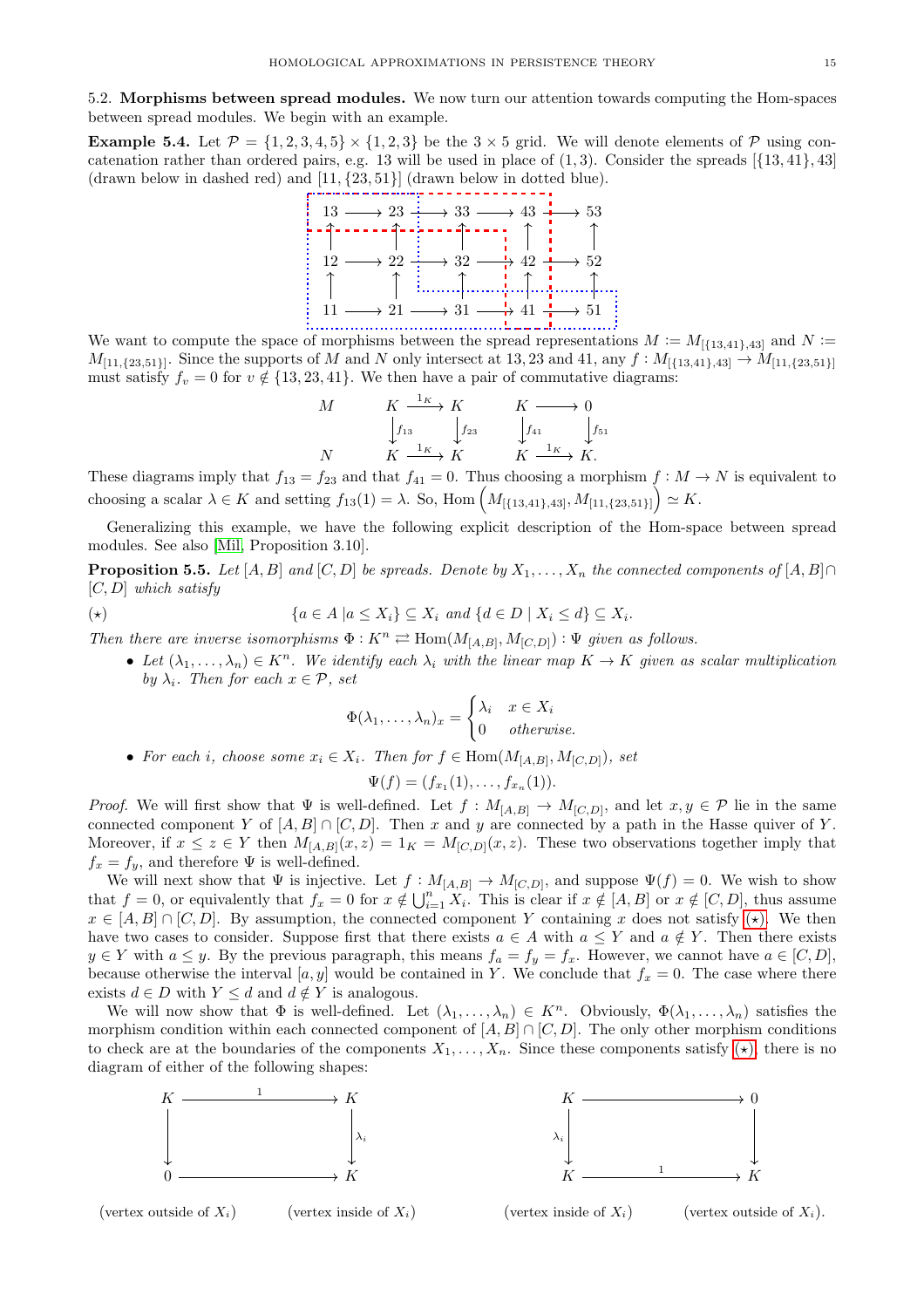5.2. Morphisms between spread modules. We now turn our attention towards computing the Hom-spaces between spread modules. We begin with an example.

<span id="page-14-2"></span>**Example 5.4.** Let  $\mathcal{P} = \{1, 2, 3, 4, 5\} \times \{1, 2, 3\}$  be the  $3 \times 5$  grid. We will denote elements of  $\mathcal{P}$  using concatenation rather than ordered pairs, e.g. 13 will be used in place of  $(1,3)$ . Consider the spreads  $\{\{13,41\},43\}$ (drawn below in dashed red) and [11, {23, 51}] (drawn below in dotted blue).



We want to compute the space of morphisms between the spread representations  $M := M_{\{13,41\},43\}}$  and  $N :=$  $M_{[11,\{23,51\}]}.$  Since the supports of M and N only intersect at 13, 23 and 41, any  $f: M_{[\{13,41\},43]} \to M_{[11,\{23,51\}]}.$ must satisfy  $f_v = 0$  for  $v \notin \{13, 23, 41\}$ . We then have a pair of commutative diagrams:

$$
\begin{array}{ccc}\nM & K \xrightarrow{1_K} K & K \longrightarrow 0 \\
\downarrow f_{13} & \downarrow f_{23} & \downarrow f_{41} & \downarrow f_{51} \\
N & K \xrightarrow{1_K} K & K \xrightarrow{1_K} K.\n\end{array}
$$

These diagrams imply that  $f_{13} = f_{23}$  and that  $f_{41} = 0$ . Thus choosing a morphism  $f : M \to N$  is equivalent to choosing a scalar  $\lambda \in K$  and setting  $f_{13}(1) = \lambda$ . So, Hom  $(M_{[\{13,41\},43]}, M_{[11,\{23,51\}]} ) \simeq K$ .

Generalizing this example, we have the following explicit description of the Hom-space between spread modules. See also [\[Mil,](#page-22-6) Proposition 3.10].

<span id="page-14-0"></span>**Proposition 5.5.** Let [A, B] and [C, D] be spreads. Denote by  $X_1, \ldots, X_n$  the connected components of [A, B]∩  $[C, D]$  which satisfy

<span id="page-14-1"></span>
$$
a \in A \mid a \le X_i \} \subseteq X_i \text{ and } \{d \in D \mid X_i \le d\} \subseteq X_i
$$

Then there are inverse isomorphisms  $\Phi: K^n \rightleftarrows \text{Hom}(M_{[A,B]}, M_{[C,D]}) : \Psi$  given as follows.

• Let  $(\lambda_1,\ldots,\lambda_n)\in K^n$ . We identify each  $\lambda_i$  with the linear map  $K\to K$  given as scalar multiplication by  $\lambda_i$ . Then for each  $x \in \mathcal{P}$ , set

$$
\Phi(\lambda_1,\ldots,\lambda_n)_x = \begin{cases} \lambda_i & x \in X_i \\ 0 & otherwise. \end{cases}
$$

• For each i, choose some  $x_i \in X_i$ . Then for  $f \in \text{Hom}(M_{[A,B]}, M_{[C,D]})$ , set

$$
\Psi(f) = (f_{x_1}(1), \ldots, f_{x_n}(1)).
$$

*Proof.* We will first show that  $\Psi$  is well-defined. Let  $f: M_{[A,B]} \to M_{[C,D]}$ , and let  $x, y \in \mathcal{P}$  lie in the same connected component Y of  $[A, B] \cap [C, D]$ . Then x and y are connected by a path in the Hasse quiver of Y. Moreover, if  $x \le z \in Y$  then  $M_{[A,B]}(x, z) = 1_K = M_{[C,D]}(x, z)$ . These two observations together imply that  $f_x = f_y$ , and therefore  $\Psi$  is well-defined.

We will next show that  $\Psi$  is injective. Let  $f: M_{[A,B]} \to M_{[C,D]}$ , and suppose  $\Psi(f) = 0$ . We wish to show that  $f = 0$ , or equivalently that  $f_x = 0$  for  $x \notin \bigcup_{i=1}^{n} X_i$ . This is clear if  $x \notin [A, B]$  or  $x \notin [C, D]$ , thus assume  $x \in [A, B] \cap [C, D]$ . By assumption, the connected component Y containing x does not satisfy  $(\star)$ . We then have two cases to consider. Suppose first that there exists  $a \in A$  with  $a \leq Y$  and  $a \notin Y$ . Then there exists  $y \in Y$  with  $a \leq y$ . By the previous paragraph, this means  $f_a = f_y = f_x$ . However, we cannot have  $a \in [C, D]$ , because otherwise the interval  $[a, y]$  would be contained in Y. We conclude that  $f_x = 0$ . The case where there exists  $d \in D$  with  $Y \leq d$  and  $d \notin Y$  is analogous.

We will now show that  $\Phi$  is well-defined. Let  $(\lambda_1, \ldots, \lambda_n) \in K^n$ . Obviously,  $\Phi(\lambda_1, \ldots, \lambda_n)$  satisfies the morphism condition within each connected component of  $[A, B] \cap [C, D]$ . The only other morphism conditions to check are at the boundaries of the components  $X_1, \ldots, X_n$ . Since these components satisfy  $(\star)$ , there is no diagram of either of the following shapes:





.

(vertex outside of  $X_i$ ) (vertex inside of  $X_i$ ) (vertex inside of  $X_i$ ) (vertex outside of  $X_i$ ).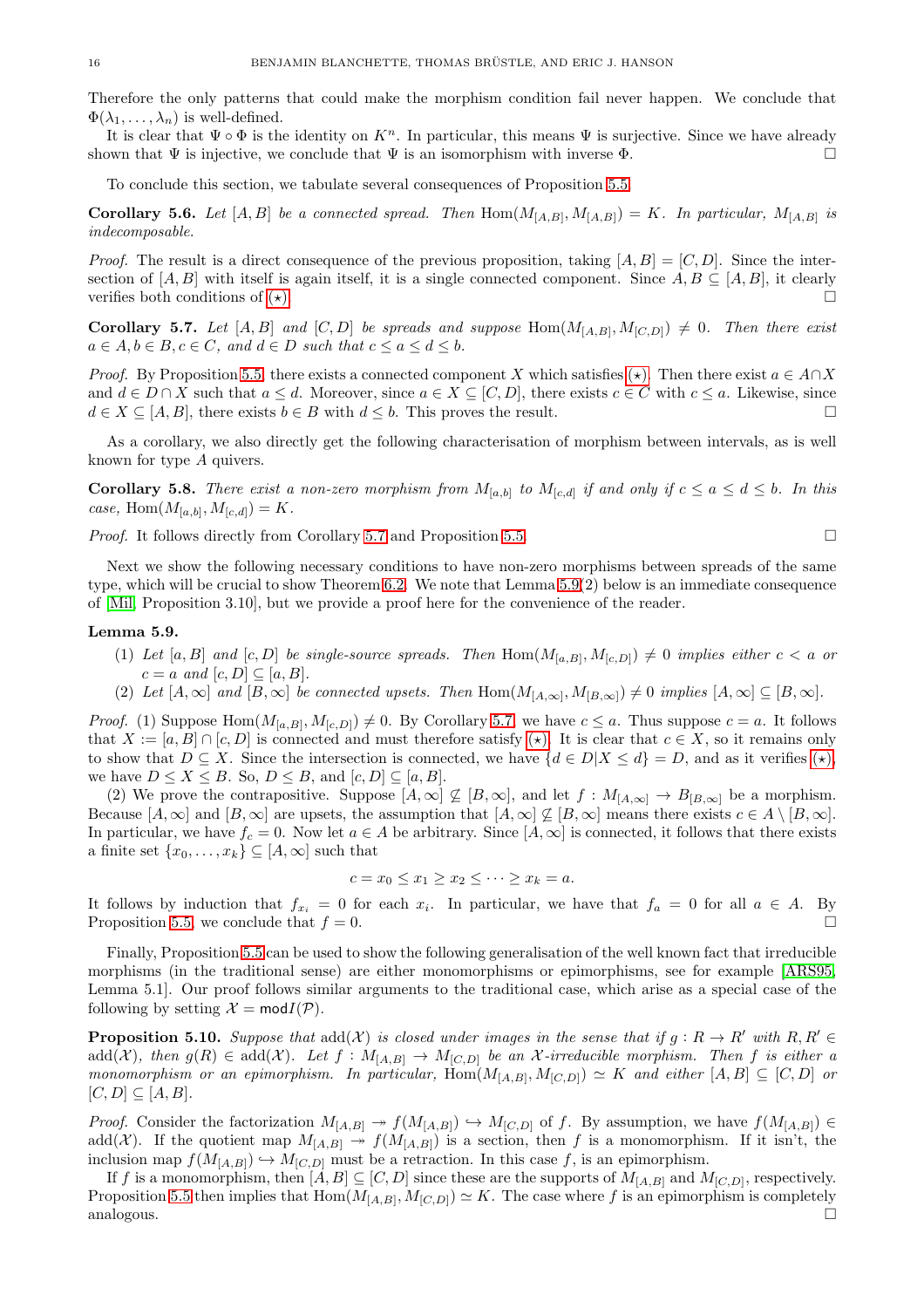Therefore the only patterns that could make the morphism condition fail never happen. We conclude that  $\Phi(\lambda_1,\ldots,\lambda_n)$  is well-defined.

It is clear that  $\Psi \circ \Phi$  is the identity on  $K^n$ . In particular, this means  $\Psi$  is surjective. Since we have already shown that  $\Psi$  is injective, we conclude that  $\Psi$  is an isomorphism with inverse  $\Phi$ .

To conclude this section, we tabulate several consequences of Proposition [5.5.](#page-14-0)

**Corollary 5.6.** Let  $[A, B]$  be a connected spread. Then  $\text{Hom}(M_{[A,B]}, M_{[A,B]}) = K$ . In particular,  $M_{[A,B]}$  is indecomposable.

*Proof.* The result is a direct consequence of the previous proposition, taking  $[A, B] = [C, D]$ . Since the intersection of  $[A, B]$  with itself is again itself, it is a single connected component. Since  $A, B \subseteq [A, B]$ , it clearly verifies both conditions of  $(\star)$ .

<span id="page-15-0"></span>**Corollary 5.7.** Let  $[A, B]$  and  $[C, D]$  be spreads and suppose  $Hom(M_{[A,B]}, M_{[C,D]}) \neq 0$ . Then there exist  $a \in A, b \in B, c \in C$ , and  $d \in D$  such that  $c \le a \le d \le b$ .

*Proof.* By Proposition [5.5,](#page-14-0) there exists a connected component X which satisfies [\(](#page-14-1) $\star$ ). Then there exist  $a \in A \cap X$ and  $d \in D \cap X$  such that  $a \leq d$ . Moreover, since  $a \in X \subseteq [C, D]$ , there exists  $c \in C$  with  $c \leq a$ . Likewise, since  $d \in X \subseteq [A, B]$ , there exists  $b \in B$  with  $d \leq b$ . This proves the result.

As a corollary, we also directly get the following characterisation of morphism between intervals, as is well known for type A quivers.

**Corollary 5.8.** There exist a non-zero morphism from  $M_{[a,b]}$  to  $M_{[c,d]}$  if and only if  $c \le a \le b$ . In this *case*,  $Hom(M_{[a,b]}, M_{[c,d]}) = K$ .

*Proof.* It follows directly from Corollary [5.7](#page-15-0) and Proposition [5.5.](#page-14-0)

Next we show the following necessary conditions to have non-zero morphisms between spreads of the same type, which will be crucial to show Theorem [6.2.](#page-16-1) We note that Lemma [5.9\(](#page-15-1)2) below is an immediate consequence of [\[Mil,](#page-22-6) Proposition 3.10], but we provide a proof here for the convenience of the reader.

### <span id="page-15-1"></span>Lemma 5.9.

- (1) Let  $[a, B]$  and  $[c, D]$  be single-source spreads. Then  $\text{Hom}(M_{[a, B]}, M_{[c, D]}) \neq 0$  implies either  $c < a$  or  $c = a$  and  $[c, D] \subseteq [a, B]$ .
- (2) Let  $[A, \infty]$  and  $[B, \infty]$  be connected upsets. Then  $\text{Hom}(M_{[A,\infty]}, M_{[B,\infty]}) \neq 0$  implies  $[A, \infty] \subseteq [B, \infty]$ .

*Proof.* (1) Suppose  $\text{Hom}(M_{[a,B]}, M_{[c,D]}) \neq 0$ . By Corollary [5.7,](#page-15-0) we have  $c \leq a$ . Thus suppose  $c = a$ . It follows that  $X := [a, B] \cap [c, D]$  is connected and must therefore satisfy  $(\star)$ . It is clear that  $c \in X$ , so it remains only to show that  $D \subseteq X$ . Since the intersection is connected, we have  $\{d \in D | X \leq d\} = D$ , and as it verifies  $(\star)$ , we have  $D \le X \le B$ . So,  $D \le B$ , and  $[c, D] \subseteq [a, B]$ .

(2) We prove the contrapositive. Suppose  $[A, \infty] \not\subseteq [B, \infty]$ , and let  $f : M_{[A, \infty]} \to B_{[B, \infty]}$  be a morphism. Because  $[A, \infty]$  and  $[B, \infty]$  are upsets, the assumption that  $[A, \infty] \not\subseteq [B, \infty]$  means there exists  $c \in A \setminus [B, \infty]$ . In particular, we have  $f_c = 0$ . Now let  $a \in A$  be arbitrary. Since  $[A, \infty]$  is connected, it follows that there exists a finite set  $\{x_0, \ldots, x_k\} \subseteq [A, \infty]$  such that

$$
c = x_0 \le x_1 \ge x_2 \le \cdots \ge x_k = a.
$$

It follows by induction that  $f_{x_i} = 0$  for each  $x_i$ . In particular, we have that  $f_a = 0$  for all  $a \in A$ . By Proposition [5.5,](#page-14-0) we conclude that  $f = 0$ .

Finally, Proposition [5.5](#page-14-0) can be used to show the following generalisation of the well known fact that irreducible morphisms (in the traditional sense) are either monomorphisms or epimorphisms, see for example [\[ARS95,](#page-21-7) Lemma 5.1]. Our proof follows similar arguments to the traditional case, which arise as a special case of the following by setting  $\mathcal{X} = \text{mod} I(\mathcal{P})$ .

**Proposition 5.10.** Suppose that  $\text{add}(\mathcal{X})$  is closed under images in the sense that if  $g : R \to R'$  with  $R, R' \in$ add(X), then  $g(R) \in \text{add}(\mathcal{X})$ . Let  $f : M_{[A,B]} \to M_{[C,D]}$  be an X-irreducible morphism. Then f is either a monomorphism or an epimorphism. In particular,  $\text{Hom}(M_{[A,B]},M_{[C,D]}) \simeq K$  and either  $[A,B] \subseteq [C,D]$  or  $[C, D] \subseteq [A, B].$ 

*Proof.* Consider the factorization  $M_{[A,B]} \rightarrow f(M_{[A,B]}) \hookrightarrow M_{[C,D]}$  of f. By assumption, we have  $f(M_{[A,B]}) \in$ add $(X)$ . If the quotient map  $M_{[A,B]} \rightarrow f(M_{[A,B]})$  is a section, then f is a monomorphism. If it isn't, the inclusion map  $f(M_{[A,B]}) \hookrightarrow M_{[C,D]}$  must be a retraction. In this case f, is an epimorphism.

If f is a monomorphism, then  $[A, B] \subseteq [C, D]$  since these are the supports of  $M_{[A, B]}$  and  $M_{[C, D]}$ , respectively. Proposition [5.5](#page-14-0) then implies that  $Hom(M_{[A,B]}, M_{[C,D]}) \simeq K$ . The case where f is an epimorphism is completely analogous.  $\square$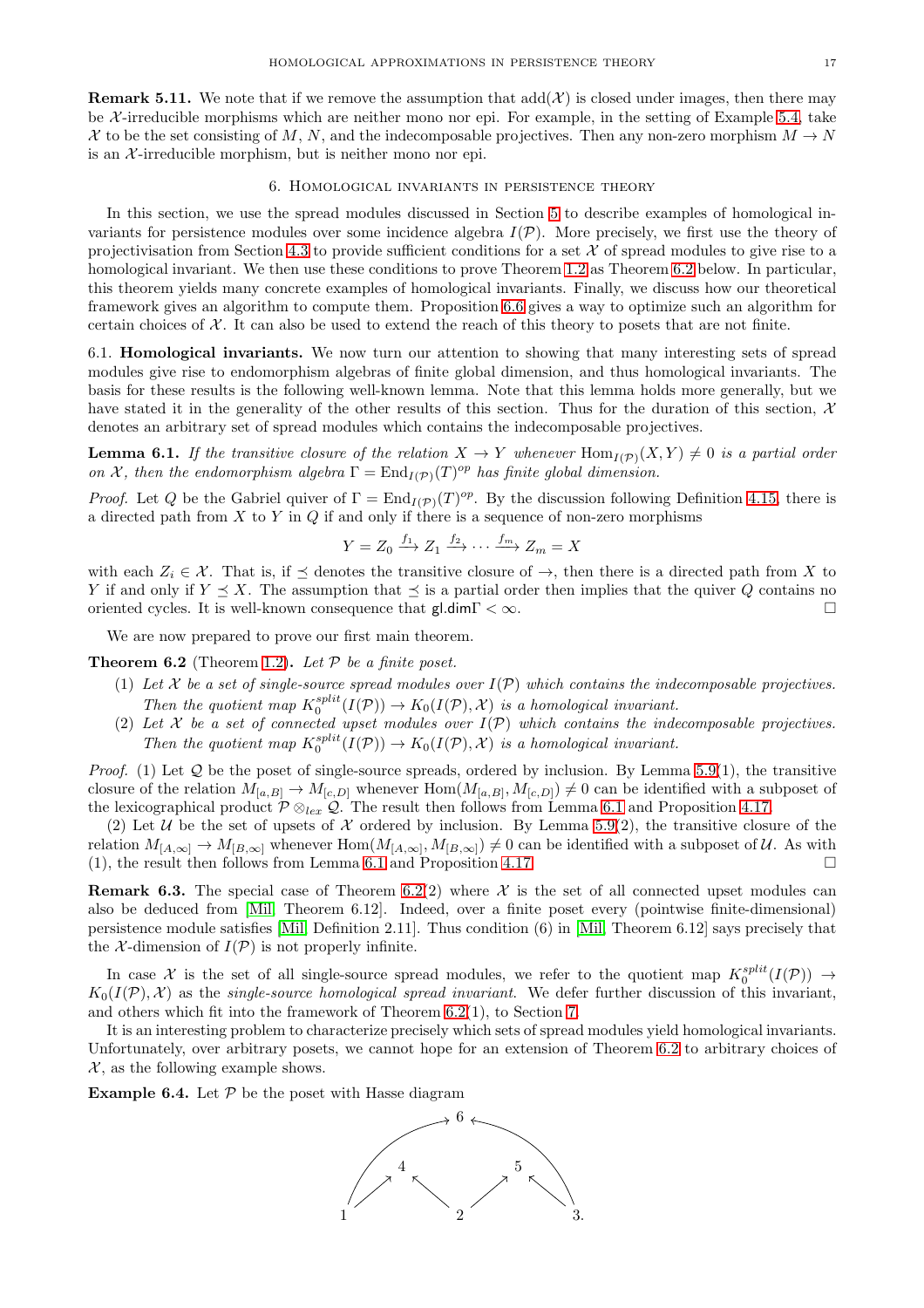**Remark 5.11.** We note that if we remove the assumption that  $add(\mathcal{X})$  is closed under images, then there may be X-irreducible morphisms which are neither mono nor epi. For example, in the setting of Example [5.4,](#page-14-2) take X to be the set consisting of M, N, and the indecomposable projectives. Then any non-zero morphism  $M \to N$ is an  $\mathcal{X}$ -irreducible morphism, but is neither mono nor epi.

#### 6. Homological invariants in persistence theory

<span id="page-16-0"></span>In this section, we use the spread modules discussed in Section [5](#page-13-0) to describe examples of homological invariants for persistence modules over some incidence algebra  $I(\mathcal{P})$ . More precisely, we first use the theory of projectivisation from Section [4.3](#page-11-1) to provide sufficient conditions for a set  $X$  of spread modules to give rise to a homological invariant. We then use these conditions to prove Theorem [1.2](#page-2-1) as Theorem [6.2](#page-16-1) below. In particular, this theorem yields many concrete examples of homological invariants. Finally, we discuss how our theoretical framework gives an algorithm to compute them. Proposition [6.6](#page-17-1) gives a way to optimize such an algorithm for certain choices of  $\mathcal X$ . It can also be used to extend the reach of this theory to posets that are not finite.

6.1. Homological invariants. We now turn our attention to showing that many interesting sets of spread modules give rise to endomorphism algebras of finite global dimension, and thus homological invariants. The basis for these results is the following well-known lemma. Note that this lemma holds more generally, but we have stated it in the generality of the other results of this section. Thus for the duration of this section,  $\mathcal{X}$ denotes an arbitrary set of spread modules which contains the indecomposable projectives.

<span id="page-16-4"></span>**Lemma 6.1.** If the transitive closure of the relation  $X \to Y$  whenever  $\text{Hom}_{I(\mathcal{P})}(X, Y) \neq 0$  is a partial order on X, then the endomorphism algebra  $\Gamma = \text{End}_{I(\mathcal{P})}(T)^{op}$  has finite global dimension.

*Proof.* Let Q be the Gabriel quiver of  $\Gamma = \text{End}_{I(\mathcal{P})}(T)^{op}$ . By the discussion following Definition [4.15,](#page-11-5) there is a directed path from  $X$  to  $Y$  in  $Q$  if and only if there is a sequence of non-zero morphisms

$$
Y = Z_0 \xrightarrow{f_1} Z_1 \xrightarrow{f_2} \cdots \xrightarrow{f_m} Z_m = X
$$

with each  $Z_i \in \mathcal{X}$ . That is, if  $\preceq$  denotes the transitive closure of  $\rightarrow$ , then there is a directed path from X to Y if and only if  $Y \preceq X$ . The assumption that  $\preceq$  is a partial order then implies that the quiver Q contains no oriented cycles. It is well-known consequence that  $\text{gl.dim}\Gamma < \infty$ .

We are now prepared to prove our first main theorem.

<span id="page-16-1"></span>**Theorem 6.2** (Theorem [1.2\)](#page-2-1). Let  $P$  be a finite poset.

- (1) Let X be a set of single-source spread modules over  $I(\mathcal{P})$  which contains the indecomposable projectives. Then the quotient map  $K_0^{split}(I(\mathcal{P})) \to K_0(I(\mathcal{P}), \mathcal{X})$  is a homological invariant.
- (2) Let  $X$  be a set of connected upset modules over  $I(\mathcal{P})$  which contains the indecomposable projectives. Then the quotient map  $K_0^{split}(I(\mathcal{P})) \to K_0(I(\mathcal{P}), \mathcal{X})$  is a homological invariant.

*Proof.* (1) Let  $Q$  be the poset of single-source spreads, ordered by inclusion. By Lemma [5.9\(](#page-15-1)1), the transitive closure of the relation  $M_{[a,B]} \to M_{[c,D]}$  whenever  $Hom(M_{[a,B]}, M_{[c,D]}) \neq 0$  can be identified with a subposet of the lexicographical product  $\overline{\mathcal{P}} \otimes_{lex} \mathcal{Q}$ . The result then follows from Lemma [6.1](#page-16-4) and Proposition [4.17.](#page-11-4)

(2) Let U be the set of upsets of X ordered by inclusion. By Lemma [5.9\(](#page-15-1)2), the transitive closure of the relation  $M_{[A,\infty]} \to M_{[B,\infty]}$  whenever  $\text{Hom}(M_{[A,\infty]},M_{[B,\infty]}) \neq 0$  can be identified with a subposet of U. As with (1), the result then follows from Lemma [6.1](#page-16-4) and Proposition [4.17.](#page-11-4)

<span id="page-16-2"></span>**Remark 6.3.** The special case of Theorem [6.2\(](#page-16-1)2) where  $\mathcal{X}$  is the set of all connected upset modules can also be deduced from [\[Mil,](#page-22-6) Theorem 6.12]. Indeed, over a finite poset every (pointwise finite-dimensional) persistence module satisfies [\[Mil,](#page-22-6) Definition 2.11]. Thus condition (6) in [\[Mil,](#page-22-6) Theorem 6.12] says precisely that the X-dimension of  $I(\mathcal{P})$  is not properly infinite.

In case X is the set of all single-source spread modules, we refer to the quotient map  $K_0^{split}(I(\mathcal{P})) \rightarrow$  $K_0(I(\mathcal{P}), \mathcal{X})$  as the *single-source homological spread invariant*. We defer further discussion of this invariant, and others which fit into the framework of Theorem [6.2\(](#page-16-1)1), to Section [7.](#page-18-0)

It is an interesting problem to characterize precisely which sets of spread modules yield homological invariants. Unfortunately, over arbitrary posets, we cannot hope for an extension of Theorem [6.2](#page-16-1) to arbitrary choices of  $\mathcal{X}$ , as the following example shows.

<span id="page-16-3"></span>**Example 6.4.** Let  $P$  be the poset with Hasse diagram

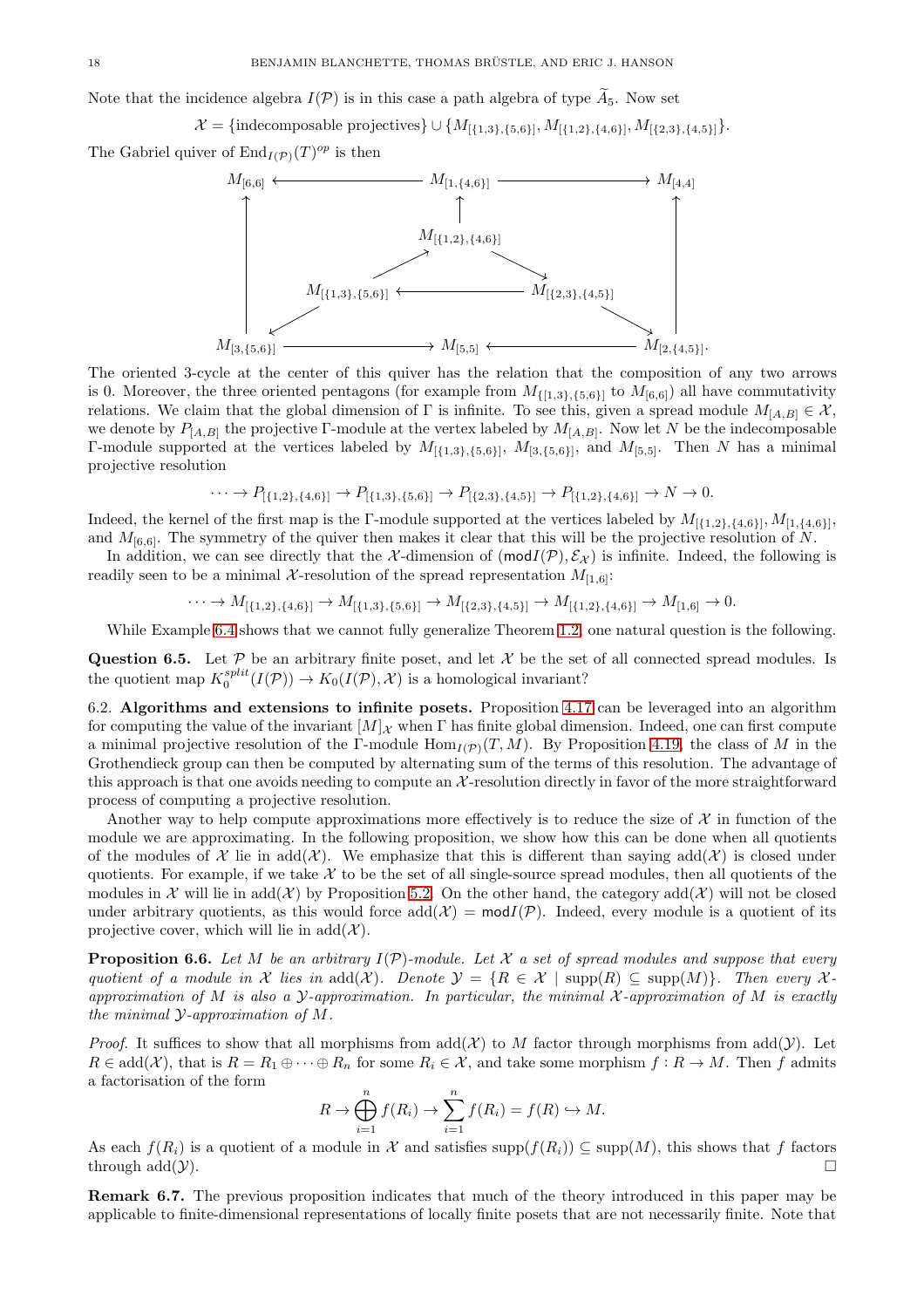Note that the incidence algebra  $I(\mathcal{P})$  is in this case a path algebra of type  $\widetilde{A}_5$ . Now set

 $\mathcal{X} = \{\text{indecomposable projectives}\}\cup \{M_{[\{1,3\},\{5,6\}]}, M_{[\{1,2\},\{4,6\}]}, M_{[\{2,3\},\{4,5\}]}\}.$ 

The Gabriel quiver of  $\text{End}_{I(\mathcal{P})}(T)^{op}$  is then



The oriented 3-cycle at the center of this quiver has the relation that the composition of any two arrows is 0. Moreover, the three oriented pentagons (for example from  $M_{\{[1,3],\{5,6\}]}$  to  $M_{[6,6]}$ ) all have commutativity relations. We claim that the global dimension of  $\Gamma$  is infinite. To see this, given a spread module  $M_{[A,B]} \in \mathcal{X}$ , we denote by  $P_{[A,B]}$  the projective Γ-module at the vertex labeled by  $M_{[A,B]}$ . Now let N be the indecomposable Γ-module supported at the vertices labeled by  $M_{\{1,3\},\{5,6\}}, M_{[3,\{5,6\}]},$  and  $M_{[5,5]}$ . Then N has a minimal projective resolution

$$
\cdots \to P_{[\{1,2\},\{4,6\}]} \to P_{[\{1,3\},\{5,6\}]} \to P_{[\{2,3\},\{4,5\}]} \to P_{[\{1,2\},\{4,6\}]} \to N \to 0.
$$

Indeed, the kernel of the first map is the Γ-module supported at the vertices labeled by  $M_{\{1,2\},\{4,6\}}, M_{[1,\{4,6\}},$ and  $M_{[6,6]}$ . The symmetry of the quiver then makes it clear that this will be the projective resolution of N.

In addition, we can see directly that the X-dimension of  $(mod I(\mathcal{P}), \mathcal{E}_{\mathcal{X}})$  is infinite. Indeed, the following is readily seen to be a minimal X-resolution of the spread representation  $M_{[1,6]}$ :

$$
\cdots \to M_{[\{1,2\},\{4,6\}]} \to M_{[\{1,3\},\{5,6\}]} \to M_{[\{2,3\},\{4,5\}]} \to M_{[\{1,2\},\{4,6\}]} \to M_{[1,6]} \to 0.
$$

While Example [6.4](#page-16-3) shows that we cannot fully generalize Theorem [1.2,](#page-2-1) one natural question is the following.

<span id="page-17-2"></span>Question 6.5. Let  $P$  be an arbitrary finite poset, and let  $X$  be the set of all connected spread modules. Is the quotient map  $K_0^{split}(I(\mathcal{P})) \to K_0(I(\mathcal{P}), \mathcal{X})$  is a homological invariant?

<span id="page-17-0"></span>6.2. Algorithms and extensions to infinite posets. Proposition [4.17](#page-11-4) can be leveraged into an algorithm for computing the value of the invariant  $[M]_X$  when  $\Gamma$  has finite global dimension. Indeed, one can first compute a minimal projective resolution of the Γ-module  $\text{Hom}_{I(\mathcal{P})}(T, M)$ . By Proposition [4.19,](#page-12-0) the class of M in the Grothendieck group can then be computed by alternating sum of the terms of this resolution. The advantage of this approach is that one avoids needing to compute an  $X$ -resolution directly in favor of the more straightforward process of computing a projective resolution.

Another way to help compute approximations more effectively is to reduce the size of  $\mathcal X$  in function of the module we are approximating. In the following proposition, we show how this can be done when all quotients of the modules of X lie in  $add(\mathcal{X})$ . We emphasize that this is different than saying  $add(\mathcal{X})$  is closed under quotients. For example, if we take  $\mathcal X$  to be the set of all single-source spread modules, then all quotients of the modules in X will lie in add(X) by Proposition [5.2.](#page-13-2) On the other hand, the category add(X) will not be closed under arbitrary quotients, as this would force  $add(\mathcal{X}) = modI(\mathcal{P})$ . Indeed, every module is a quotient of its projective cover, which will lie in  $add(\mathcal{X})$ .

<span id="page-17-1"></span>**Proposition 6.6.** Let M be an arbitrary  $I(\mathcal{P})$ -module. Let X a set of spread modules and suppose that every quotient of a module in X lies in  $\text{add}(\mathcal{X})$ . Denote  $\mathcal{Y} = \{R \in \mathcal{X} \mid \text{supp}(R) \subseteq \text{supp}(M)\}\$ . Then every Xapproximation of M is also a  $\mathcal{Y}$ -approximation. In particular, the minimal  $\mathcal{X}$ -approximation of M is exactly the minimal  $\mathcal Y$ -approximation of M.

*Proof.* It suffices to show that all morphisms from  $add(\mathcal{X})$  to M factor through morphisms from  $add(\mathcal{Y})$ . Let  $R \in \text{add}(\mathcal{X})$ , that is  $R = R_1 \oplus \cdots \oplus R_n$  for some  $R_i \in \mathcal{X}$ , and take some morphism  $f: R \to M$ . Then f admits a factorisation of the form

$$
R \to \bigoplus_{i=1}^{n} f(R_i) \to \sum_{i=1}^{n} f(R_i) = f(R) \to M.
$$

As each  $f(R_i)$  is a quotient of a module in X and satisfies supp $(f(R_i)) \subseteq \text{supp}(M)$ , this shows that f factors through  $add(y)$ .

Remark 6.7. The previous proposition indicates that much of the theory introduced in this paper may be applicable to finite-dimensional representations of locally finite posets that are not necessarily finite. Note that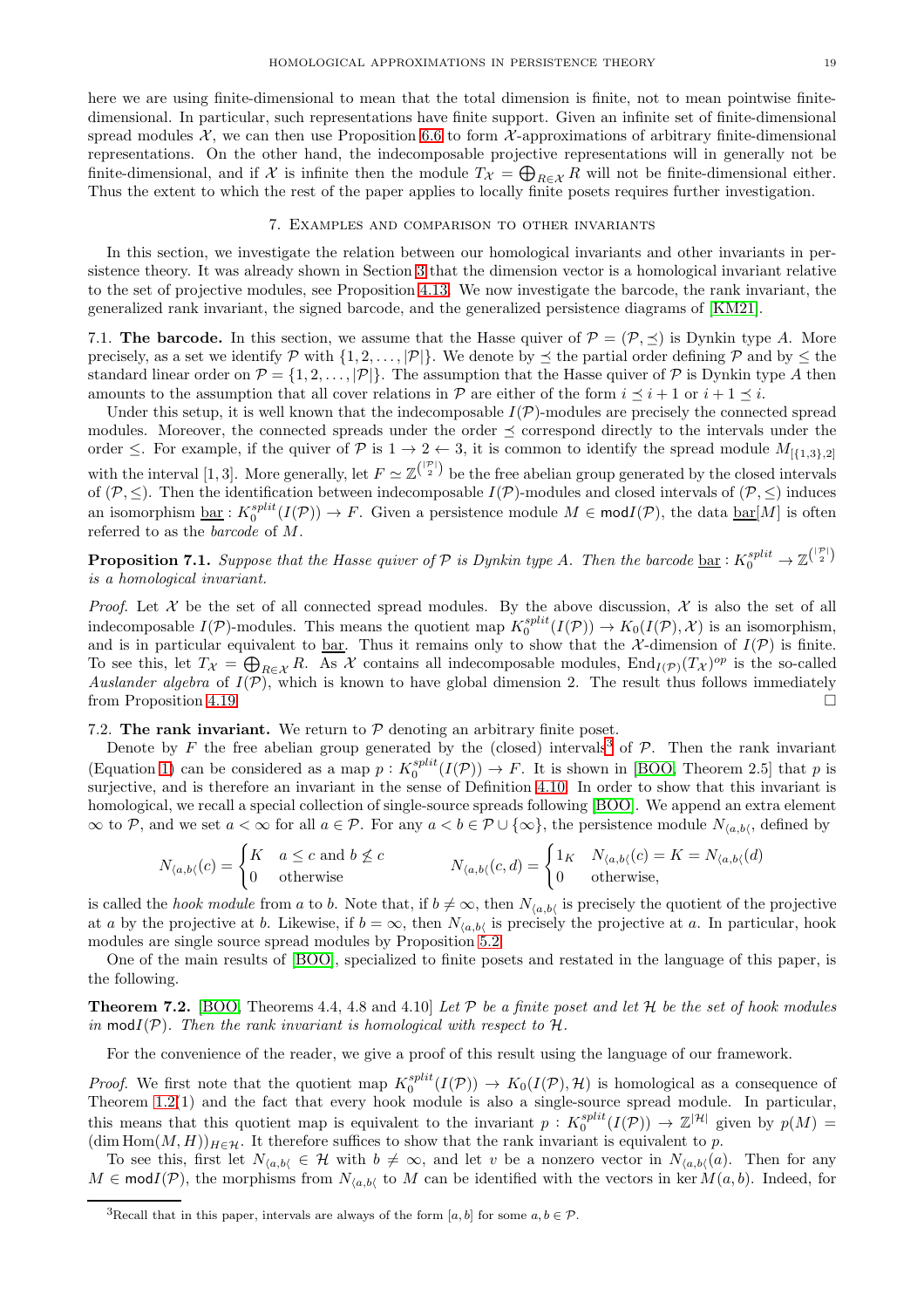here we are using finite-dimensional to mean that the total dimension is finite, not to mean pointwise finitedimensional. In particular, such representations have finite support. Given an infinite set of finite-dimensional spread modules  $\mathcal{X}$ , we can then use Proposition [6.6](#page-17-1) to form  $\mathcal{X}$ -approximations of arbitrary finite-dimensional representations. On the other hand, the indecomposable projective representations will in generally not be finite-dimensional, and if X is infinite then the module  $T_x = \bigoplus_{R \in \mathcal{X}} R$  will not be finite-dimensional either. Thus the extent to which the rest of the paper applies to locally finite posets requires further investigation.

### 7. Examples and comparison to other invariants

<span id="page-18-0"></span>In this section, we investigate the relation between our homological invariants and other invariants in persistence theory. It was already shown in Section [3](#page-5-0) that the dimension vector is a homological invariant relative to the set of projective modules, see Proposition [4.13.](#page-11-2) We now investigate the barcode, the rank invariant, the generalized rank invariant, the signed barcode, and the generalized persistence diagrams of [\[KM21\]](#page-22-5).

<span id="page-18-1"></span>7.1. The barcode. In this section, we assume that the Hasse quiver of  $\mathcal{P} = (\mathcal{P}, \prec)$  is Dynkin type A. More precisely, as a set we identify P with  $\{1, 2, \ldots, |\mathcal{P}|\}$ . We denote by  $\preceq$  the partial order defining P and by  $\leq$  the standard linear order on  $\mathcal{P} = \{1, 2, ..., |\mathcal{P}|\}$ . The assumption that the Hasse quiver of  $\mathcal P$  is Dynkin type A then amounts to the assumption that all cover relations in  $\mathcal P$  are either of the form  $i \preceq i + 1$  or  $i + 1 \preceq i$ .

Under this setup, it is well known that the indecomposable  $I(\mathcal{P})$ -modules are precisely the connected spread modules. Moreover, the connected spreads under the order  $\preceq$  correspond directly to the intervals under the order  $\leq$ . For example, if the quiver of  $\mathcal P$  is  $1 \to 2 \leftarrow 3$ , it is common to identify the spread module  $M_{[\{1,3\},2]}$ with the interval [1,3]. More generally, let  $F \simeq \mathbb{Z}^{\binom{|\mathcal{P}|}{2}}$  be the free abelian group generated by the closed intervals of  $(\mathcal{P}, \le)$ . Then the identification between indecomposable  $I(\mathcal{P})$ -modules and closed intervals of  $(\mathcal{P}, \le)$  induces an isomorphism  $\underline{\text{bar}}: K_0^{split}(I(\mathcal{P})) \to F$ . Given a persistence module  $M \in \text{mod } I(\mathcal{P})$ , the data  $\underline{\text{bar}}[M]$  is often referred to as the barcode of M.

<span id="page-18-3"></span>**Proposition 7.1.** Suppose that the Hasse quiver of  $P$  is Dynkin type A. Then the barcode  $\underline{bar}: K_0^{split} \to \mathbb{Z}^{(\frac{|\mathcal{P}|}{2})}$ is a homological invariant.

*Proof.* Let  $\mathcal X$  be the set of all connected spread modules. By the above discussion,  $\mathcal X$  is also the set of all indecomposable  $I(\mathcal{P})$ -modules. This means the quotient map  $K_0^{split}(I(\mathcal{P})) \to K_0(I(\mathcal{P}), \mathcal{X})$  is an isomorphism, and is in particular equivalent to <u>bar</u>. Thus it remains only to show that the  $\mathcal{X}$ -dimension of  $I(\mathcal{P})$  is finite. To see this, let  $T_{\mathcal{X}} = \bigoplus_{R \in \mathcal{X}} R$ . As X contains all indecomposable modules,  $\text{End}_{I(\mathcal{P})}(T_{\mathcal{X}})^{op}$  is the so-called Auslander algebra of  $I(\mathcal{P})$ , which is known to have global dimension 2. The result thus follows immediately from Proposition [4.19.](#page-12-0)

<span id="page-18-4"></span>7.2. The rank invariant. We return to  $P$  denoting an arbitrary finite poset.

Denote by F the free abelian group generated by the (closed) intervals<sup>[3](#page-18-5)</sup> of  $P$ . Then the rank invariant (Equation [1\)](#page-1-0) can be considered as a map  $p: K_0^{split}(I(\mathcal{P})) \to F$ . It is shown in [\[BOO,](#page-21-11) Theorem 2.5] that p is surjective, and is therefore an invariant in the sense of Definition [4.10.](#page-10-0) In order to show that this invariant is homological, we recall a special collection of single-source spreads following [\[BOO\]](#page-21-11). We append an extra element  $\infty$  to P, and we set  $a < \infty$  for all  $a \in \mathcal{P}$ . For any  $a < b \in \mathcal{P} \cup \{\infty\}$ , the persistence module  $N_{\langle a,b \rangle}$ , defined by

$$
N_{\langle a,b\rangle}(c)=\begin{cases}K & a\leq c \text{ and }b\not\leq c \\ 0 & \text{otherwise}\end{cases} \hspace{1cm} N_{\langle a,b\rangle}(c,d)=\begin{cases}1_K & N_{\langle a,b\rangle}(c)=K=N_{\langle a,b\rangle}(d) \\ 0 & \text{otherwise,} \end{cases}
$$

is called the *hook module* from a to b. Note that, if  $b \neq \infty$ , then  $N_{\langle a,b\rangle}$  is precisely the quotient of the projective at a by the projective at b. Likewise, if  $b = \infty$ , then  $N_{\langle a,b \rangle}$  is precisely the projective at a. In particular, hook modules are single source spread modules by Proposition [5.2.](#page-13-2)

One of the main results of [\[BOO\]](#page-21-11), specialized to finite posets and restated in the language of this paper, is the following.

<span id="page-18-2"></span>**Theorem 7.2.** [\[BOO,](#page-21-11) Theorems 4.4, 4.8 and 4.10] Let  $\mathcal{P}$  be a finite poset and let  $\mathcal{H}$  be the set of hook modules in  $mod I(\mathcal{P})$ . Then the rank invariant is homological with respect to H.

For the convenience of the reader, we give a proof of this result using the language of our framework.

*Proof.* We first note that the quotient map  $K_0^{split}(I(\mathcal{P})) \to K_0(I(\mathcal{P}), \mathcal{H})$  is homological as a consequence of Theorem [1.2\(](#page-2-1)1) and the fact that every hook module is also a single-source spread module. In particular, this means that this quotient map is equivalent to the invariant  $p: K_0^{split}(I(\mathcal{P})) \to \mathbb{Z}^{|\mathcal{H}|}$  given by  $p(M) =$  $(\dim \text{Hom}(M, H))_{H \in \mathcal{H}}$ . It therefore suffices to show that the rank invariant is equivalent to p.

To see this, first let  $N_{\langle a,b\rangle} \in \mathcal{H}$  with  $b \neq \infty$ , and let v be a nonzero vector in  $N_{\langle a,b\rangle}(a)$ . Then for any  $M \in \text{mod} I(\mathcal{P})$ , the morphisms from  $N_{\langle a,b \rangle}$  to M can be identified with the vectors in ker  $M(a, b)$ . Indeed, for

<span id="page-18-5"></span><sup>&</sup>lt;sup>3</sup>Recall that in this paper, intervals are always of the form [a, b] for some  $a, b \in \mathcal{P}$ .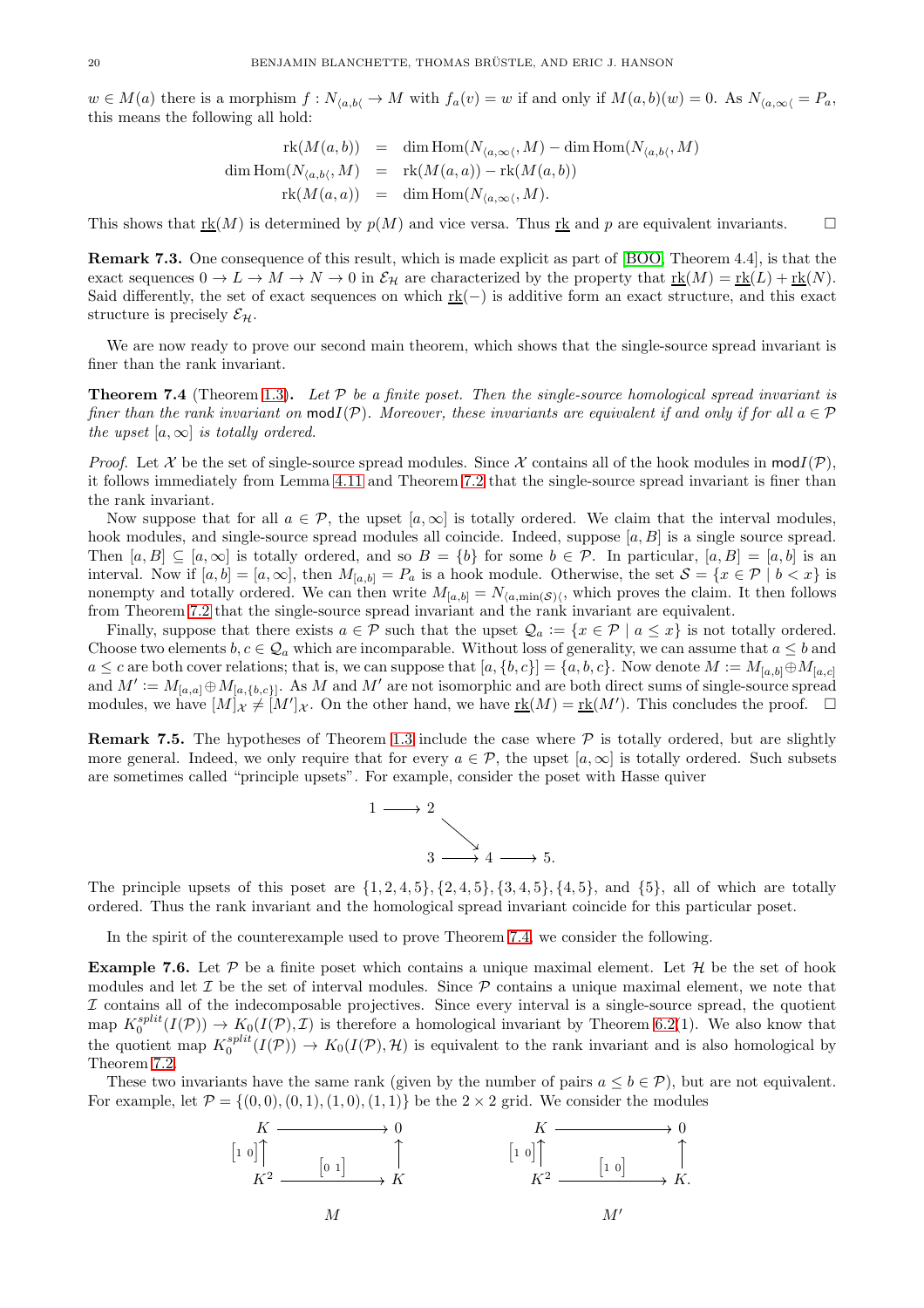$w \in M(a)$  there is a morphism  $f: N_{\langle a,b\rangle} \to M$  with  $f_a(v) = w$  if and only if  $M(a, b)(w) = 0$ . As  $N_{\langle a, \infty \rangle} = P_a$ , this means the following all hold:

$$
\operatorname{rk}(M(a, b)) = \dim \operatorname{Hom}(N_{\langle a, \infty \langle}, M) - \dim \operatorname{Hom}(N_{\langle a, b \langle}, M))
$$
  
dim 
$$
\operatorname{Hom}(N_{\langle a, b \langle}, M) = \operatorname{rk}(M(a, a)) - \operatorname{rk}(M(a, b))
$$
  

$$
\operatorname{rk}(M(a, a)) = \dim \operatorname{Hom}(N_{\langle a, \infty \langle}, M).
$$

This shows that  $\underline{\text{rk}}(M)$  is determined by  $p(M)$  and vice versa. Thus  $\underline{\text{rk}}$  and p are equivalent invariants.  $\square$ 

Remark 7.3. One consequence of this result, which is made explicit as part of [\[BOO,](#page-21-11) Theorem 4.4], is that the exact sequences  $0 \to L \to M \to N \to 0$  in  $\mathcal{E}_{\mathcal{H}}$  are characterized by the property that  $\underline{\text{rk}}(M) = \underline{\text{rk}}(L) + \underline{\text{rk}}(N)$ . Said differently, the set of exact sequences on which  $r k(-)$  is additive form an exact structure, and this exact structure is precisely  $\mathcal{E}_{\mathcal{H}}$ .

We are now ready to prove our second main theorem, which shows that the single-source spread invariant is finer than the rank invariant.

<span id="page-19-1"></span>**Theorem 7.4** (Theorem [1.3\)](#page-2-3). Let  $P$  be a finite poset. Then the single-source homological spread invariant is finer than the rank invariant on  $mod I(\mathcal{P})$ . Moreover, these invariants are equivalent if and only if for all  $a \in \mathcal{P}$ the upset  $[a,\infty]$  is totally ordered.

*Proof.* Let X be the set of single-source spread modules. Since X contains all of the hook modules in  $mod I(\mathcal{P})$ , it follows immediately from Lemma [4.11](#page-10-2) and Theorem [7.2](#page-18-2) that the single-source spread invariant is finer than the rank invariant.

Now suppose that for all  $a \in \mathcal{P}$ , the upset  $[a,\infty]$  is totally ordered. We claim that the interval modules, hook modules, and single-source spread modules all coincide. Indeed, suppose  $[a, B]$  is a single source spread. Then  $[a, B] \subseteq [a, \infty]$  is totally ordered, and so  $B = \{b\}$  for some  $b \in \mathcal{P}$ . In particular,  $[a, B] = [a, b]$  is an interval. Now if  $[a, b] = [a, \infty]$ , then  $M_{[a, b]} = P_a$  is a hook module. Otherwise, the set  $S = \{x \in \mathcal{P} \mid b < x\}$  is nonempty and totally ordered. We can then write  $M_{[a,b]} = N_{\langle a,\min(S) \rangle}$ , which proves the claim. It then follows from Theorem [7.2](#page-18-2) that the single-source spread invariant and the rank invariant are equivalent.

Finally, suppose that there exists  $a \in \mathcal{P}$  such that the upset  $\mathcal{Q}_a := \{x \in \mathcal{P} \mid a \leq x\}$  is not totally ordered. Choose two elements  $b, c \in \mathcal{Q}_a$  which are incomparable. Without loss of generality, we can assume that  $a \leq b$  and  $a \leq c$  are both cover relations; that is, we can suppose that  $[a, \{b, c\}] = \{a, b, c\}$ . Now denote  $M := M_{[a, b]} \oplus M_{[a, c]}$ and  $M' := M_{[a,a]} \oplus M_{[a,\{b,c\}]}$ . As M and M' are not isomorphic and are both direct sums of single-source spread modules, we have  $[M]_{\mathcal{X}} \neq [M']_{\mathcal{X}}$ . On the other hand, we have  $\underline{\text{rk}}(M) = \underline{\text{rk}}(M')$ . This concludes the proof.  $\square$ 

**Remark 7.5.** The hypotheses of Theorem [1.3](#page-2-3) include the case where  $P$  is totally ordered, but are slightly more general. Indeed, we only require that for every  $a \in \mathcal{P}$ , the upset  $[a,\infty]$  is totally ordered. Such subsets are sometimes called "principle upsets". For example, consider the poset with Hasse quiver



The principle upsets of this poset are  $\{1, 2, 4, 5\}$ ,  $\{2, 4, 5\}$ ,  $\{3, 4, 5\}$ ,  $\{4, 5\}$ , and  $\{5\}$ , all of which are totally ordered. Thus the rank invariant and the homological spread invariant coincide for this particular poset.

In the spirit of the counterexample used to prove Theorem [7.4,](#page-19-1) we consider the following.

<span id="page-19-0"></span>**Example 7.6.** Let P be a finite poset which contains a unique maximal element. Let H be the set of hook modules and let  $\mathcal I$  be the set of interval modules. Since  $\mathcal P$  contains a unique maximal element, we note that I contains all of the indecomposable projectives. Since every interval is a single-source spread, the quotient map  $K_0^{split}(I(\mathcal{P})) \to K_0(I(\mathcal{P}), \mathcal{I})$  is therefore a homological invariant by Theorem [6.2\(](#page-16-1)1). We also know that the quotient map  $K_0^{split}(I(\mathcal{P})) \to K_0(I(\mathcal{P}), \mathcal{H})$  is equivalent to the rank invariant and is also homological by Theorem [7.2.](#page-18-2)

These two invariants have the same rank (given by the number of pairs  $a \leq b \in \mathcal{P}$ ), but are not equivalent. For example, let  $\mathcal{P} = \{(0,0), (0,1), (1,0), (1,1)\}\$  be the  $2 \times 2$  grid. We consider the modules



$$
-\mathit{l}
$$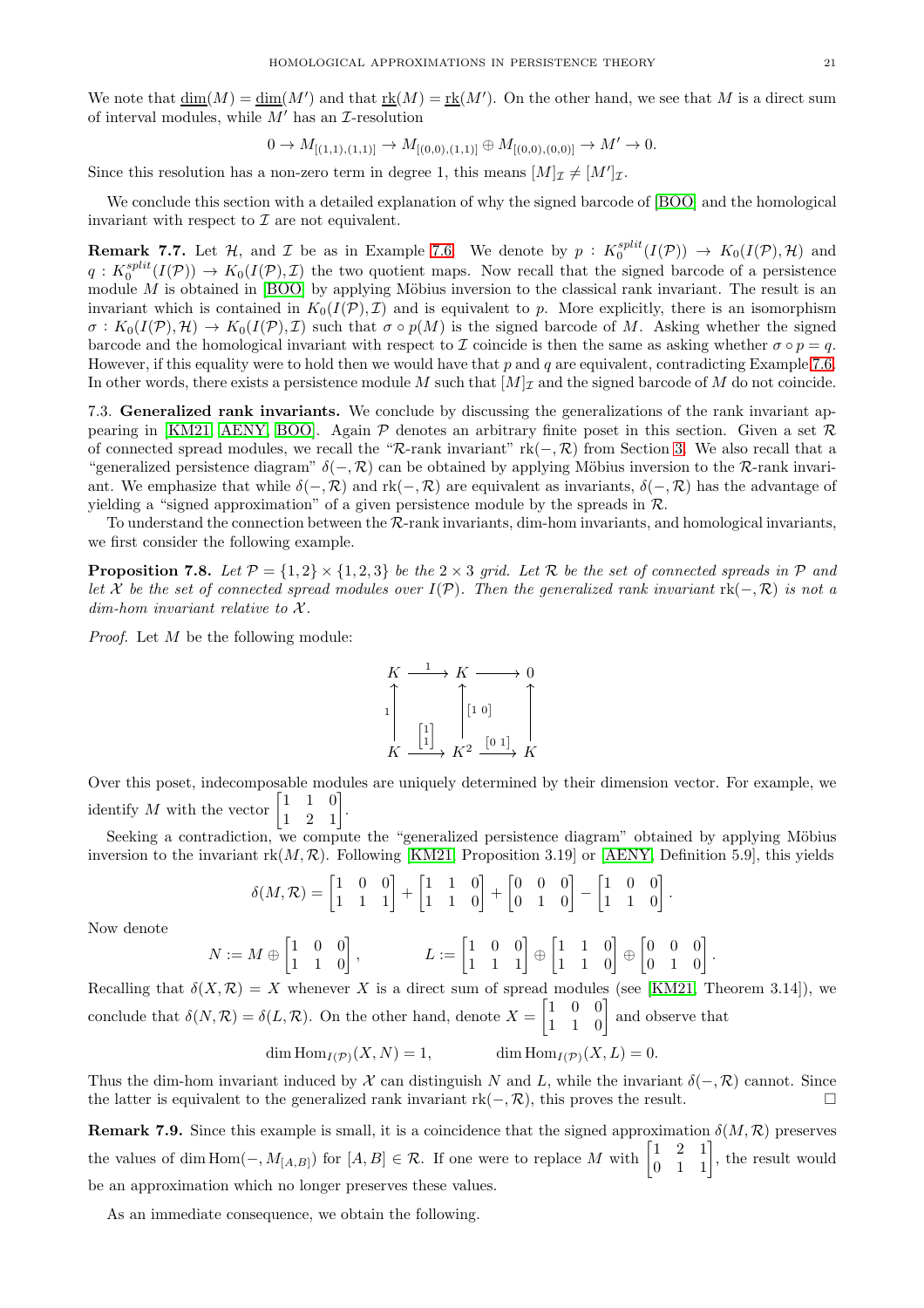We note that  $\underline{\dim}(M) = \underline{\dim}(M')$  and that  $\underline{\text{rk}}(M) = \underline{\text{rk}}(M')$ . On the other hand, we see that M is a direct sum of interval modules, while  $M'$  has an  $\mathcal{I}$ -resolution

$$
0 \to M_{[(1,1),(1,1)]} \to M_{[(0,0),(1,1)]} \oplus M_{[(0,0),(0,0)]} \to M' \to 0.
$$

Since this resolution has a non-zero term in degree 1, this means  $[M]_{\mathcal{I}} \neq [M']_{\mathcal{I}}$ .

We conclude this section with a detailed explanation of why the signed barcode of [\[BOO\]](#page-21-11) and the homological invariant with respect to  $\mathcal I$  are not equivalent.

<span id="page-20-0"></span>**Remark 7.7.** Let  $H$ , and  $I$  be as in Example [7.6.](#page-19-0) We denote by  $p: K_0^{split}(I(\mathcal{P})) \to K_0(I(\mathcal{P}), \mathcal{H})$  and  $q: K_0^{split}(I(\mathcal{P})) \to K_0(I(\mathcal{P}), \mathcal{I})$  the two quotient maps. Now recall that the signed barcode of a persistence module  $M$  is obtained in [\[BOO\]](#page-21-11) by applying Möbius inversion to the classical rank invariant. The result is an invariant which is contained in  $K_0(I(\mathcal{P}), \mathcal{I})$  and is equivalent to p. More explicitly, there is an isomorphism  $\sigma: K_0(I(\mathcal{P}), \mathcal{H}) \to K_0(I(\mathcal{P}), \mathcal{I})$  such that  $\sigma \circ p(M)$  is the signed barcode of M. Asking whether the signed barcode and the homological invariant with respect to I coincide is then the same as asking whether  $\sigma \circ p = q$ . However, if this equality were to hold then we would have that  $p$  and  $q$  are equivalent, contradicting Example [7.6.](#page-19-0) In other words, there exists a persistence module M such that  $[M]_I$  and the signed barcode of M do not coincide.

7.3. Generalized rank invariants. We conclude by discussing the generalizations of the rank invariant ap-pearing in [\[KM21,](#page-22-5) [AENY,](#page-21-12) [BOO\]](#page-21-11). Again  $P$  denotes an arbitrary finite poset in this section. Given a set  $R$ of connected spread modules, we recall the "R-rank invariant" rk(-, R) from Section [3.](#page-5-0) We also recall that a "generalized persistence diagram"  $\delta(-, \mathcal{R})$  can be obtained by applying Möbius inversion to the  $\mathcal{R}$ -rank invariant. We emphasize that while  $\delta(-, \mathcal{R})$  and  $rk(-, \mathcal{R})$  are equivalent as invariants,  $\delta(-, \mathcal{R})$  has the advantage of yielding a "signed approximation" of a given persistence module by the spreads in  $\mathcal{R}$ .

To understand the connection between the R-rank invariants, dim-hom invariants, and homological invariants, we first consider the following example.

<span id="page-20-1"></span>**Proposition 7.8.** Let  $P = \{1, 2\} \times \{1, 2, 3\}$  be the 2 × 3 grid. Let R be the set of connected spreads in P and let X be the set of connected spread modules over  $I(\mathcal{P})$ . Then the generalized rank invariant rk(-, R) is not a  $dim$ -hom invariant relative to  $\mathcal{X}$ .

Proof. Let M be the following module:



Over this poset, indecomposable modules are uniquely determined by their dimension vector. For example, we identify M with the vector  $\begin{bmatrix} 1 & 1 & 0 \\ 1 & 2 & 1 \end{bmatrix}$ .

Seeking a contradiction, we compute the "generalized persistence diagram" obtained by applying Möbius inversion to the invariant  $rk(M,\mathcal{R})$ . Following [\[KM21,](#page-22-5) Proposition 3.19] or [\[AENY,](#page-21-12) Definition 5.9], this yields

$$
\delta(M,\mathcal{R}) = \begin{bmatrix} 1 & 0 & 0 \\ 1 & 1 & 1 \end{bmatrix} + \begin{bmatrix} 1 & 1 & 0 \\ 1 & 1 & 0 \end{bmatrix} + \begin{bmatrix} 0 & 0 & 0 \\ 0 & 1 & 0 \end{bmatrix} - \begin{bmatrix} 1 & 0 & 0 \\ 1 & 1 & 0 \end{bmatrix}.
$$

Now denote

$$
N:=M\oplus \begin{bmatrix} 1 & 0 & 0 \\ 1 & 1 & 0 \end{bmatrix}, \hspace{1.5cm} L:=\begin{bmatrix} 1 & 0 & 0 \\ 1 & 1 & 1 \end{bmatrix} \oplus \begin{bmatrix} 1 & 1 & 0 \\ 1 & 1 & 0 \end{bmatrix} \oplus \begin{bmatrix} 0 & 0 & 0 \\ 0 & 1 & 0 \end{bmatrix}.
$$

Recalling that  $\delta(X,\mathcal{R}) = X$  whenever X is a direct sum of spread modules (see [\[KM21,](#page-22-5) Theorem 3.14]), we conclude that  $\delta(N, \mathcal{R}) = \delta(L, \mathcal{R})$ . On the other hand, denote  $X =$  $\begin{bmatrix} 1 & 0 & 0 \\ 1 & 1 & 0 \end{bmatrix}$  and observe that

$$
\dim \text{Hom}_{I(\mathcal{P})}(X, N) = 1, \qquad \dim \text{Hom}_{I(\mathcal{P})}(X, L) = 0.
$$

Thus the dim-hom invariant induced by X can distinguish N and L, while the invariant  $\delta(-, \mathcal{R})$  cannot. Since the latter is equivalent to the generalized rank invariant  $rk(-, \mathcal{R})$ , this proves the result.

**Remark 7.9.** Since this example is small, it is a coincidence that the signed approximation  $\delta(M,\mathcal{R})$  preserves the values of dim  $\text{Hom}(-, M_{[A,B]})$  for  $[A, B] \in \mathcal{R}$ . If one were to replace M with  $\begin{bmatrix} 1 & 2 & 1 \\ 0 & 1 & 1 \end{bmatrix}$ , the result would be an approximation which no longer preserves these values.

As an immediate consequence, we obtain the following.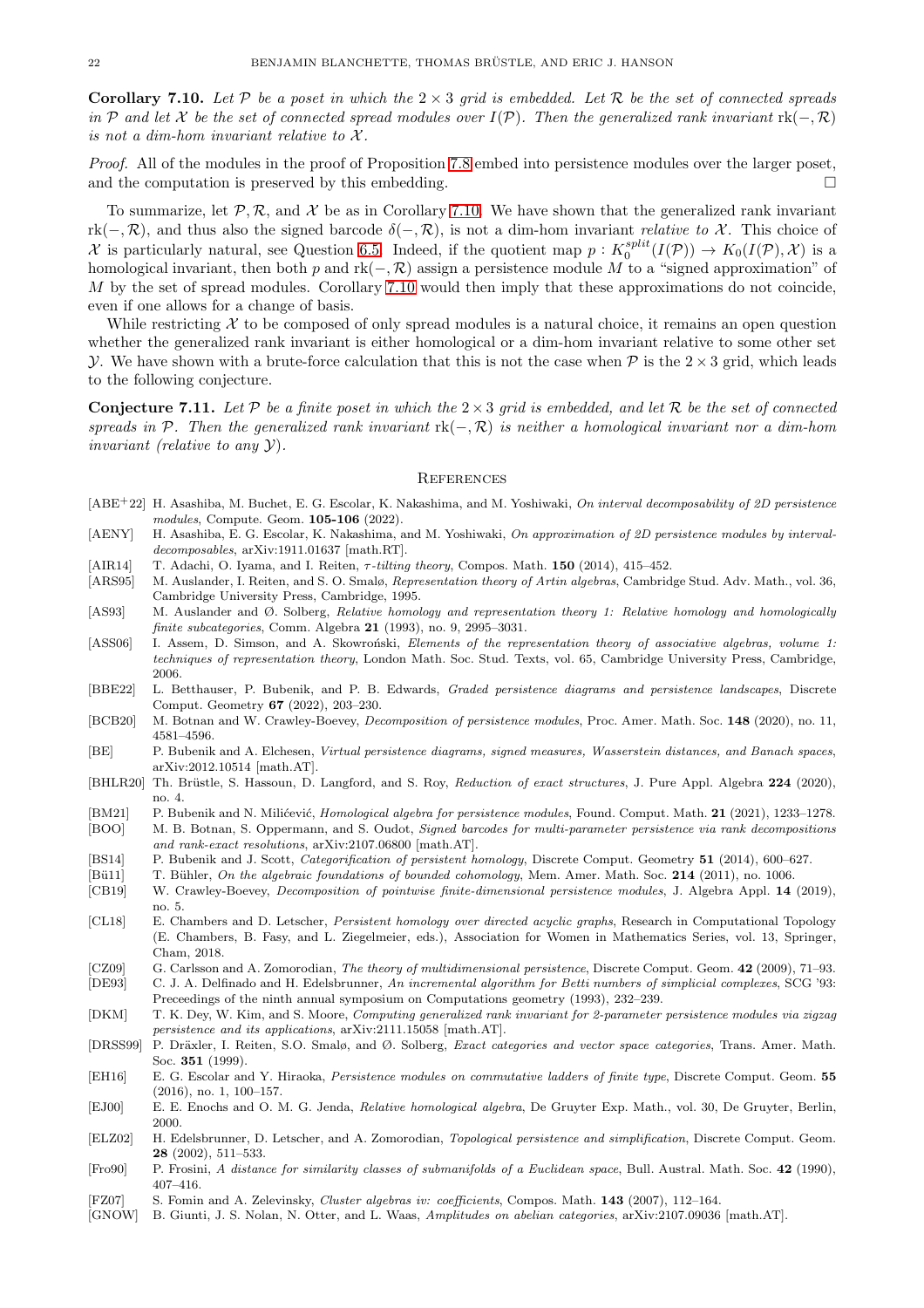<span id="page-21-14"></span>**Corollary 7.10.** Let P be a poset in which the  $2 \times 3$  grid is embedded. Let R be the set of connected spreads in P and let X be the set of connected spread modules over  $I(\mathcal{P})$ . Then the generalized rank invariant  $rk(-, \mathcal{R})$ is not a dim-hom invariant relative to  $\mathcal{X}$ .

Proof. All of the modules in the proof of Proposition [7.8](#page-20-1) embed into persistence modules over the larger poset, and the computation is preserved by this embedding.  $\Box$ 

To summarize, let  $\mathcal{P}, \mathcal{R}$ , and X be as in Corollary [7.10.](#page-21-14) We have shown that the generalized rank invariant rk(-, R), and thus also the signed barcode  $\delta(-, \mathcal{R})$ , is not a dim-hom invariant *relative to X*. This choice of X is particularly natural, see Question [6.5.](#page-17-2) Indeed, if the quotient map  $p: K_0^{split}(I(\mathcal{P})) \to K_0(I(\mathcal{P}), \mathcal{X})$  is a homological invariant, then both p and rk(-,  $\mathcal{R}$ ) assign a persistence module M to a "signed approximation" of  $M$  by the set of spread modules. Corollary [7.10](#page-21-14) would then imply that these approximations do not coincide, even if one allows for a change of basis.

While restricting  $\mathcal X$  to be composed of only spread modules is a natural choice, it remains an open question whether the generalized rank invariant is either homological or a dim-hom invariant relative to some other set Y. We have shown with a brute-force calculation that this is not the case when  $P$  is the  $2 \times 3$  grid, which leads to the following conjecture.

<span id="page-21-15"></span>**Conjecture 7.11.** Let P be a finite poset in which the  $2 \times 3$  grid is embedded, and let R be the set of connected spreads in  $\mathcal P$ . Then the generalized rank invariant rk(-, R) is neither a homological invariant nor a dim-hom invariant (relative to any Y).

#### <span id="page-21-0"></span>**REFERENCES**

- <span id="page-21-16"></span>[ABE+22] H. Asashiba, M. Buchet, E. G. Escolar, K. Nakashima, and M. Yoshiwaki, On interval decomposability of 2D persistence modules, Compute. Geom. 105-106 (2022).
- <span id="page-21-12"></span>[AENY] H. Asashiba, E. G. Escolar, K. Nakashima, and M. Yoshiwaki, On approximation of 2D persistence modules by intervaldecomposables, arXiv:1911.01637 [math.RT].
- <span id="page-21-23"></span>[AIR14] T. Adachi, O. Iyama, and I. Reiten,  $\tau$ -tilting theory, Compos. Math. 150 (2014), 415–452.
- <span id="page-21-7"></span>[ARS95] M. Auslander, I. Reiten, and S. O. Smalø, Representation theory of Artin algebras, Cambridge Stud. Adv. Math., vol. 36, Cambridge University Press, Cambridge, 1995.
- <span id="page-21-13"></span>[AS93] M. Auslander and Ø. Solberg, Relative homology and representation theory 1: Relative homology and homologically finite subcategories, Comm. Algebra 21 (1993), no. 9, 2995–3031.
- <span id="page-21-8"></span>[ASS06] I. Assem, D. Simson, and A. Skowroński, Elements of the representation theory of associative algebras, volume 1: techniques of representation theory, London Math. Soc. Stud. Texts, vol. 65, Cambridge University Press, Cambridge, 2006.
- <span id="page-21-20"></span>[BBE22] L. Betthauser, P. Bubenik, and P. B. Edwards, Graded persistence diagrams and persistence landscapes, Discrete Comput. Geometry 67 (2022), 203–230.
- <span id="page-21-6"></span>[BCB20] M. Botnan and W. Crawley-Boevey, Decomposition of persistence modules, Proc. Amer. Math. Soc. 148 (2020), no. 11, 4581–4596.
- <span id="page-21-21"></span>[BE] P. Bubenik and A. Elchesen, Virtual persistence diagrams, signed measures, Wasserstein distances, and Banach spaces, arXiv:2012.10514 [math.AT].
- <span id="page-21-28"></span>[BHLR20] Th. Brüstle, S. Hassoun, D. Langford, and S. Roy, Reduction of exact structures, J. Pure Appl. Algebra 224 (2020), no. 4.
- <span id="page-21-17"></span><span id="page-21-11"></span>[BM21] P. Bubenik and N. Milićević, *Homological algebra for persistence modules*, Found. Comput. Math. 21 (2021), 1233-1278. [BOO] M. B. Botnan, S. Oppermann, and S. Oudot, Signed barcodes for multi-parameter persistence via rank decompositions and rank-exact resolutions, arXiv:2107.06800 [math.AT].
- <span id="page-21-4"></span>[BS14] P. Bubenik and J. Scott, Categorification of persistent homology, Discrete Comput. Geometry 51 (2014), 600–627.
- <span id="page-21-27"></span>[Bü11] T. Bühler, On the algebraic foundations of bounded cohomology, Mem. Amer. Math. Soc. 214 (2011), no. 1006.
- <span id="page-21-9"></span>[CB19] W. Crawley-Boevey, Decomposition of pointwise finite-dimensional persistence modules, J. Algebra Appl. 14 (2019), no. 5.
- <span id="page-21-5"></span>[CL18] E. Chambers and D. Letscher, Persistent homology over directed acyclic graphs, Research in Computational Topology (E. Chambers, B. Fasy, and L. Ziegelmeier, eds.), Association for Women in Mathematics Series, vol. 13, Springer, Cham, 2018.
- <span id="page-21-10"></span>[CZ09] G. Carlsson and A. Zomorodian, The theory of multidimensional persistence, Discrete Comput. Geom. 42 (2009), 71–93. [DE93] C. J. A. Delfinado and H. Edelsbrunner, An incremental algorithm for Betti numbers of simplicial complexes, SCG '93:
- <span id="page-21-2"></span>Preceedings of the ninth annual symposium on Computations geometry (1993), 232–239.
- <span id="page-21-19"></span>[DKM] T. K. Dey, W. Kim, and S. Moore, Computing generalized rank invariant for 2-parameter persistence modules via zigzag persistence and its applications, arXiv:2111.15058 [math.AT].
- <span id="page-21-26"></span>[DRSS99] P. Dräxler, I. Reiten, S.O. Smalø, and Ø. Solberg, Exact categories and vector space categories, Trans. Amer. Math. Soc. 351 (1999).
- <span id="page-21-18"></span>[EH16] E. G. Escolar and Y. Hiraoka, Persistence modules on commutative ladders of finite type, Discrete Comput. Geom. 55 (2016), no. 1, 100–157.
- <span id="page-21-25"></span>[EJ00] E. E. Enochs and O. M. G. Jenda, Relative homological algebra, De Gruyter Exp. Math., vol. 30, De Gruyter, Berlin, 2000.
- <span id="page-21-3"></span>[ELZ02] H. Edelsbrunner, D. Letscher, and A. Zomorodian, Topological persistence and simplification, Discrete Comput. Geom. 28 (2002), 511–533.
- <span id="page-21-1"></span>[Fro90] P. Frosini, A distance for similarity classes of submanifolds of a Euclidean space, Bull. Austral. Math. Soc. 42 (1990), 407–416.
- <span id="page-21-24"></span><span id="page-21-22"></span>[FZ07] S. Fomin and A. Zelevinsky, Cluster algebras iv: coefficients, Compos. Math. 143 (2007), 112–164.